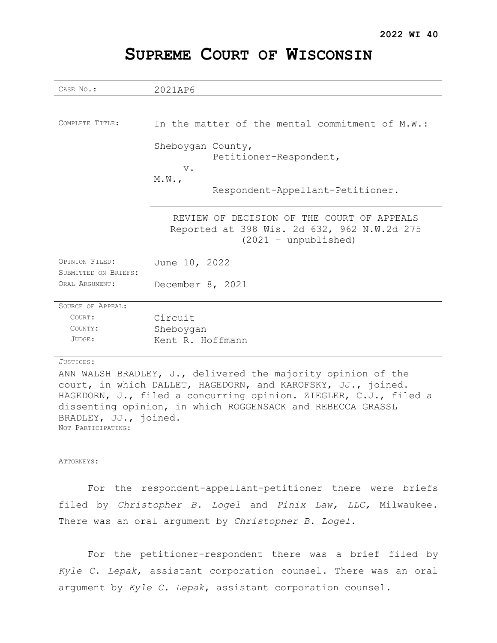| CASE No.:                                                    | 2021AP6                                                          |
|--------------------------------------------------------------|------------------------------------------------------------------|
|                                                              |                                                                  |
|                                                              |                                                                  |
| COMPLETE TITLE:                                              | In the matter of the mental commitment of M.W.:                  |
|                                                              |                                                                  |
|                                                              | Sheboygan County,                                                |
|                                                              | Petitioner-Respondent,                                           |
|                                                              | $V$ .                                                            |
|                                                              | M.W.                                                             |
|                                                              | Respondent-Appellant-Petitioner.                                 |
|                                                              |                                                                  |
|                                                              | REVIEW OF DECISION OF THE COURT OF APPEALS                       |
|                                                              | Reported at 398 Wis. 2d 632, 962 N.W.2d 275                      |
|                                                              | $(2021 - unpublished)$                                           |
|                                                              |                                                                  |
| OPINION FILED:                                               | June 10, 2022                                                    |
| SUBMITTED ON BRIEFS:                                         |                                                                  |
| ORAL ARGUMENT:                                               | December 8, 2021                                                 |
|                                                              |                                                                  |
| SOURCE OF APPEAL:                                            |                                                                  |
| COURT:                                                       | Circuit                                                          |
| COUNTY:                                                      | Sheboygan                                                        |
| JUDGE:                                                       | Kent R. Hoffmann                                                 |
|                                                              |                                                                  |
| JUSTICES:                                                    |                                                                  |
| ANN WALSH BRADLEY, J., delivered the majority opinion of the |                                                                  |
| court, in which DALLET, HAGEDORN, and KAROFSKY, JJ., joined. |                                                                  |
|                                                              | HAGEDORN, J., filed a concurring opinion. ZIEGLER, C.J., filed a |
| dissenting opinion, in which ROGGENSACK and REBECCA GRASSL   |                                                                  |
| BRADLEY, JJ., joined.                                        |                                                                  |

# **SUPREME COURT OF WISCONSIN**

ATTORNEYS:

NOT PARTICIPATING:

For the respondent-appellant-petitioner there were briefs filed by *Christopher B. Logel* and *Pinix Law, LLC,* Milwaukee. There was an oral argument by *Christopher B. Logel*.

For the petitioner-respondent there was a brief filed by *Kyle C. Lepak*, assistant corporation counsel. There was an oral argument by *Kyle C. Lepak*, assistant corporation counsel.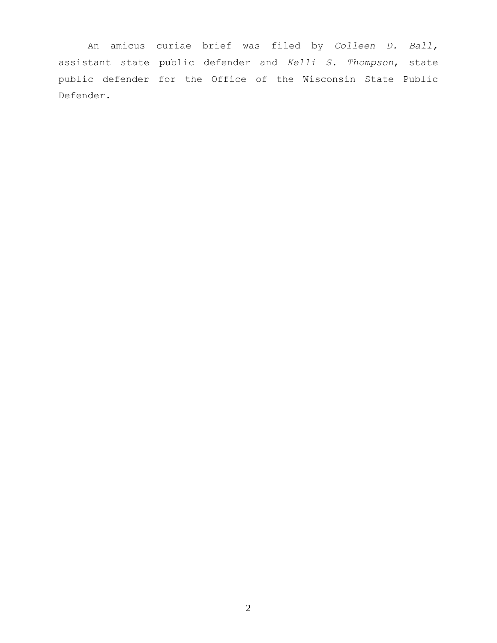An amicus curiae brief was filed by *Colleen D. Ball,* assistant state public defender and *Kelli S. Thompson*, state public defender for the Office of the Wisconsin State Public Defender.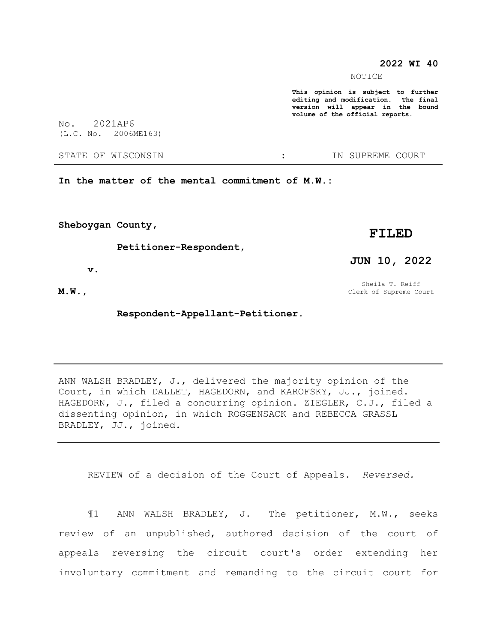#### **2022 WI 40**

NOTICE

**This opinion is subject to further editing and modification. The final version will appear in the bound volume of the official reports.** 

No. 2021AP6 (L.C. No. 2006ME163)

STATE OF WISCONSIN  $\cdot$  : IN SUPREME COURT

**In the matter of the mental commitment of M.W.:**

**Sheboygan County,**

 **Petitioner-Respondent,**

 **v.**

**M.W.,**

 **Respondent-Appellant-Petitioner.**

ANN WALSH BRADLEY, J., delivered the majority opinion of the Court, in which DALLET, HAGEDORN, and KAROFSKY, JJ., joined. HAGEDORN, J., filed a concurring opinion. ZIEGLER, C.J., filed a dissenting opinion, in which ROGGENSACK and REBECCA GRASSL BRADLEY, JJ., joined.

REVIEW of a decision of the Court of Appeals. *Reversed.*

¶1 ANN WALSH BRADLEY, J. The petitioner, M.W., seeks review of an unpublished, authored decision of the court of appeals reversing the circuit court's order extending her involuntary commitment and remanding to the circuit court for

**FILED**

**JUN 10, 2022**

Sheila T. Reiff Clerk of Supreme Court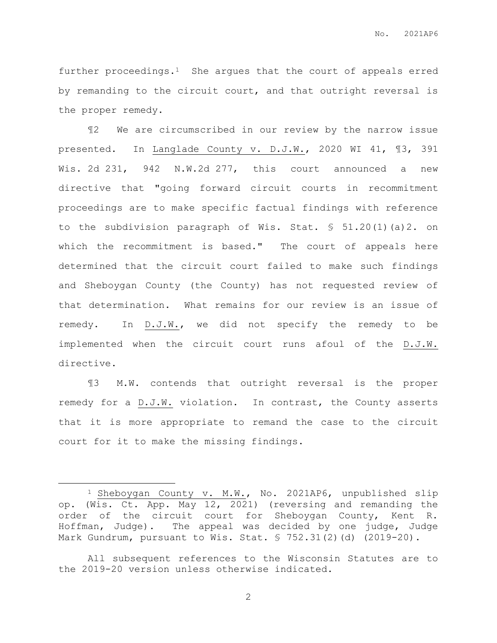further proceedings.1 She argues that the court of appeals erred by remanding to the circuit court, and that outright reversal is the proper remedy.

¶2 We are circumscribed in our review by the narrow issue presented. In Langlade County v. D.J.W., 2020 WI 41, ¶3, 391 Wis. 2d 231, 942 N.W.2d 277, this court announced a new directive that "going forward circuit courts in recommitment proceedings are to make specific factual findings with reference to the subdivision paragraph of Wis. Stat. § 51.20(1)(a)2. on which the recommitment is based." The court of appeals here determined that the circuit court failed to make such findings and Sheboygan County (the County) has not requested review of that determination. What remains for our review is an issue of remedy. In D.J.W., we did not specify the remedy to be implemented when the circuit court runs afoul of the D.J.W. directive.

¶3 M.W. contends that outright reversal is the proper remedy for a D.J.W. violation. In contrast, the County asserts that it is more appropriate to remand the case to the circuit court for it to make the missing findings.

 $\overline{a}$ 

<sup>1</sup> Sheboygan County v. M.W., No. 2021AP6, unpublished slip op. (Wis. Ct. App. May 12, 2021) (reversing and remanding the order of the circuit court for Sheboygan County, Kent R. Hoffman, Judge). The appeal was decided by one judge, Judge Mark Gundrum, pursuant to Wis. Stat. § 752.31(2)(d) (2019-20).

All subsequent references to the Wisconsin Statutes are to the 2019-20 version unless otherwise indicated.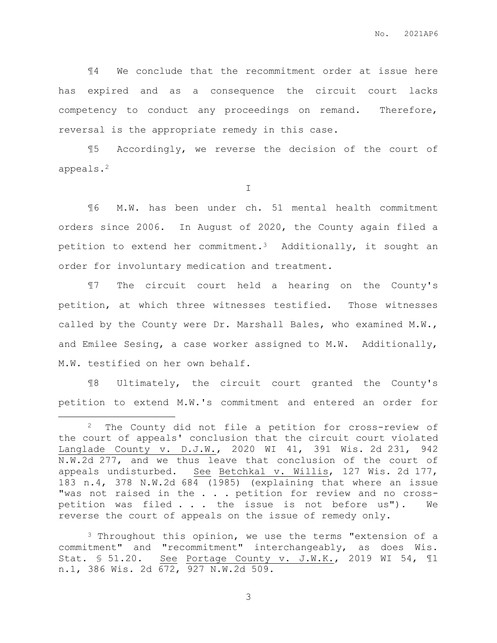¶4 We conclude that the recommitment order at issue here has expired and as a consequence the circuit court lacks competency to conduct any proceedings on remand. Therefore, reversal is the appropriate remedy in this case.

¶5 Accordingly, we reverse the decision of the court of appeals.<sup>2</sup>

I

¶6 M.W. has been under ch. 51 mental health commitment orders since 2006. In August of 2020, the County again filed a petition to extend her commitment.3 Additionally, it sought an order for involuntary medication and treatment.

¶7 The circuit court held a hearing on the County's petition, at which three witnesses testified. Those witnesses called by the County were Dr. Marshall Bales, who examined M.W., and Emilee Sesing, a case worker assigned to M.W. Additionally, M.W. testified on her own behalf.

¶8 Ultimately, the circuit court granted the County's petition to extend M.W.'s commitment and entered an order for

 $\overline{a}$ 

<sup>3</sup> Throughout this opinion, we use the terms "extension of a commitment" and "recommitment" interchangeably, as does Wis. Stat. § 51.20. See Portage County v. J.W.K., 2019 WI 54, ¶1 n.1, 386 Wis. 2d 672, 927 N.W.2d 509.

<sup>2</sup> The County did not file a petition for cross-review of the court of appeals' conclusion that the circuit court violated Langlade County v. D.J.W., 2020 WI 41, 391 Wis. 2d 231, 942 N.W.2d 277, and we thus leave that conclusion of the court of appeals undisturbed. See Betchkal v. Willis, 127 Wis. 2d 177, 183 n.4, 378 N.W.2d 684 (1985) (explaining that where an issue "was not raised in the . . . petition for review and no crosspetition was filed . . . the issue is not before us"). We reverse the court of appeals on the issue of remedy only.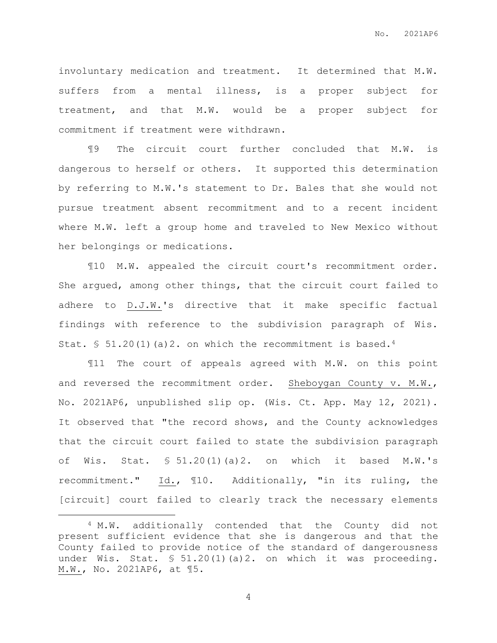involuntary medication and treatment. It determined that M.W. suffers from a mental illness, is a proper subject for treatment, and that M.W. would be a proper subject for commitment if treatment were withdrawn.

¶9 The circuit court further concluded that M.W. is dangerous to herself or others. It supported this determination by referring to M.W.'s statement to Dr. Bales that she would not pursue treatment absent recommitment and to a recent incident where M.W. left a group home and traveled to New Mexico without her belongings or medications.

¶10 M.W. appealed the circuit court's recommitment order. She argued, among other things, that the circuit court failed to adhere to D.J.W.'s directive that it make specific factual findings with reference to the subdivision paragraph of Wis. Stat. §  $51.20(1)(a)2$ . on which the recommitment is based.<sup>4</sup>

¶11 The court of appeals agreed with M.W. on this point and reversed the recommitment order. Sheboygan County v. M.W., No. 2021AP6, unpublished slip op. (Wis. Ct. App. May 12, 2021). It observed that "the record shows, and the County acknowledges that the circuit court failed to state the subdivision paragraph of Wis. Stat.  $$ 51.20(1)(a)2$ . on which it based M.W.'s recommitment." Id., ¶10. Additionally, "in its ruling, the [circuit] court failed to clearly track the necessary elements

 $\overline{a}$ 

<sup>4</sup> M.W. additionally contended that the County did not present sufficient evidence that she is dangerous and that the County failed to provide notice of the standard of dangerousness under Wis. Stat. § 51.20(1)(a)2. on which it was proceeding. M.W., No. 2021AP6, at ¶5.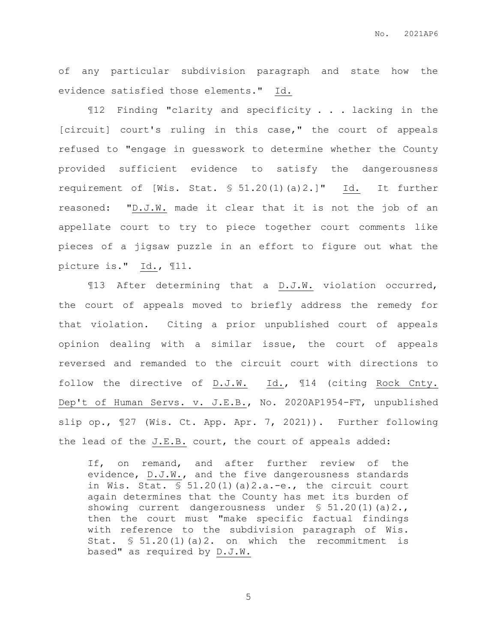of any particular subdivision paragraph and state how the evidence satisfied those elements." Id.

¶12 Finding "clarity and specificity . . . lacking in the [circuit] court's ruling in this case," the court of appeals refused to "engage in guesswork to determine whether the County provided sufficient evidence to satisfy the dangerousness requirement of [Wis. Stat. § 51.20(1)(a)2.]" Id. It further reasoned: "D.J.W. made it clear that it is not the job of an appellate court to try to piece together court comments like pieces of a jigsaw puzzle in an effort to figure out what the picture is." Id., ¶11.

¶13 After determining that a D.J.W. violation occurred, the court of appeals moved to briefly address the remedy for that violation. Citing a prior unpublished court of appeals opinion dealing with a similar issue, the court of appeals reversed and remanded to the circuit court with directions to follow the directive of D.J.W. Id., ¶14 (citing Rock Cnty. Dep't of Human Servs. v. J.E.B., No. 2020AP1954-FT, unpublished slip op., ¶27 (Wis. Ct. App. Apr. 7, 2021)). Further following the lead of the J.E.B. court, the court of appeals added:

If, on remand, and after further review of the evidence, D.J.W., and the five dangerousness standards in Wis. Stat.  $\frac{1}{2}$  51.20(1)(a)2.a.-e., the circuit court again determines that the County has met its burden of showing current dangerousness under  $\$ 51.20(1)(a)2.,$ then the court must "make specific factual findings with reference to the subdivision paragraph of Wis. Stat.  $\text{\$} 51.20(1)(a)2$ . on which the recommitment is based" as required by D.J.W.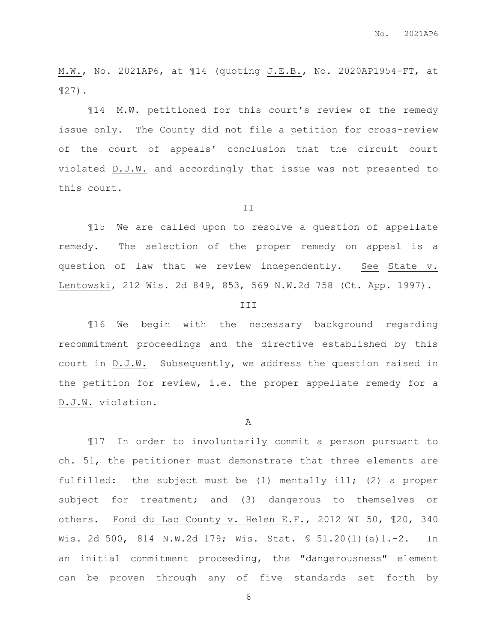M.W., No. 2021AP6, at ¶14 (quoting J.E.B., No. 2020AP1954-FT, at ¶27).

¶14 M.W. petitioned for this court's review of the remedy issue only. The County did not file a petition for cross-review of the court of appeals' conclusion that the circuit court violated D.J.W. and accordingly that issue was not presented to this court.

II

¶15 We are called upon to resolve a question of appellate remedy. The selection of the proper remedy on appeal is a question of law that we review independently. See State v. Lentowski, 212 Wis. 2d 849, 853, 569 N.W.2d 758 (Ct. App. 1997).

#### III

¶16 We begin with the necessary background regarding recommitment proceedings and the directive established by this court in D.J.W. Subsequently, we address the question raised in the petition for review, i.e. the proper appellate remedy for a D.J.W. violation.

A

¶17 In order to involuntarily commit a person pursuant to ch. 51, the petitioner must demonstrate that three elements are fulfilled: the subject must be (1) mentally ill; (2) a proper subject for treatment; and (3) dangerous to themselves or others. Fond du Lac County v. Helen E.F., 2012 WI 50, ¶20, 340 Wis. 2d 500, 814 N.W.2d 179; Wis. Stat. § 51.20(1)(a)1.-2. In an initial commitment proceeding, the "dangerousness" element can be proven through any of five standards set forth by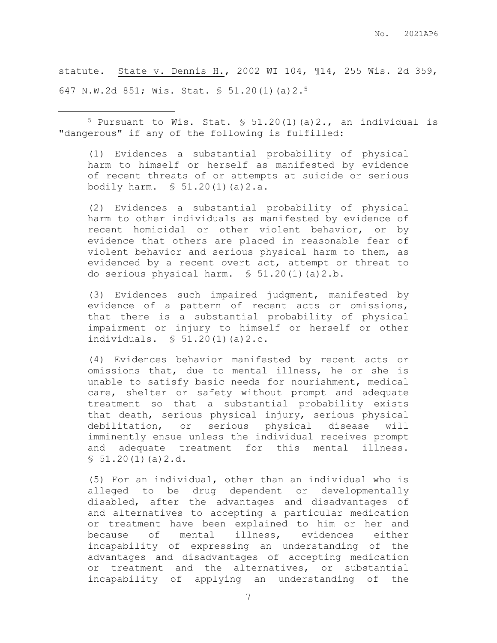statute. State v. Dennis H., 2002 WI 104, ¶14, 255 Wis. 2d 359, 647 N.W.2d 851; Wis. Stat. § 51.20(1)(a)2.<sup>5</sup>

 $5$  Pursuant to Wis. Stat. § 51.20(1)(a)2., an individual is "dangerous" if any of the following is fulfilled:

 $\overline{a}$ 

(1) Evidences a substantial probability of physical harm to himself or herself as manifested by evidence of recent threats of or attempts at suicide or serious bodily harm. § 51.20(1)(a)2.a.

(2) Evidences a substantial probability of physical harm to other individuals as manifested by evidence of recent homicidal or other violent behavior, or by evidence that others are placed in reasonable fear of violent behavior and serious physical harm to them, as evidenced by a recent overt act, attempt or threat to do serious physical harm. § 51.20(1)(a)2.b.

(3) Evidences such impaired judgment, manifested by evidence of a pattern of recent acts or omissions, that there is a substantial probability of physical impairment or injury to himself or herself or other individuals. § 51.20(1)(a)2.c.

(4) Evidences behavior manifested by recent acts or omissions that, due to mental illness, he or she is unable to satisfy basic needs for nourishment, medical care, shelter or safety without prompt and adequate treatment so that a substantial probability exists that death, serious physical injury, serious physical debilitation, or serious physical disease will imminently ensue unless the individual receives prompt and adequate treatment for this mental illness.  $$51.20(1)(a)2.d.$ 

(5) For an individual, other than an individual who is alleged to be drug dependent or developmentally disabled, after the advantages and disadvantages of and alternatives to accepting a particular medication or treatment have been explained to him or her and because of mental illness, evidences either incapability of expressing an understanding of the advantages and disadvantages of accepting medication or treatment and the alternatives, or substantial incapability of applying an understanding of the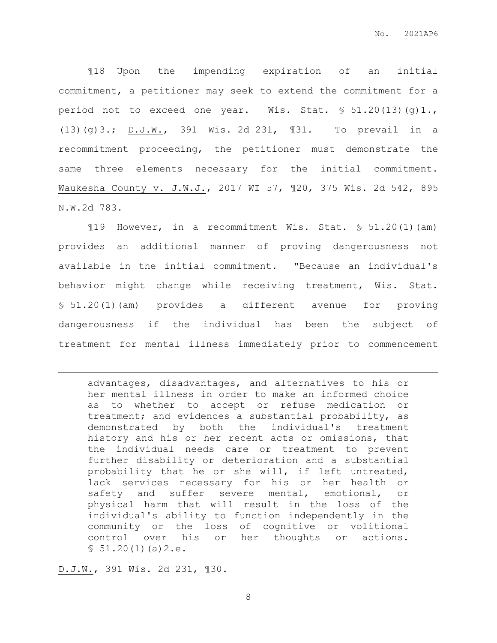¶18 Upon the impending expiration of an initial commitment, a petitioner may seek to extend the commitment for a period not to exceed one year. Wis. Stat. § 51.20(13)(g)1., (13)(g)3.; D.J.W., 391 Wis. 2d 231, ¶31. To prevail in a recommitment proceeding, the petitioner must demonstrate the same three elements necessary for the initial commitment. Waukesha County v. J.W.J., 2017 WI 57, ¶20, 375 Wis. 2d 542, 895 N.W.2d 783.

¶19 However, in a recommitment Wis. Stat. § 51.20(1)(am) provides an additional manner of proving dangerousness not available in the initial commitment. "Because an individual's behavior might change while receiving treatment, Wis. Stat. § 51.20(1)(am) provides a different avenue for proving dangerousness if the individual has been the subject of treatment for mental illness immediately prior to commencement

advantages, disadvantages, and alternatives to his or her mental illness in order to make an informed choice as to whether to accept or refuse medication or treatment; and evidences a substantial probability, as demonstrated by both the individual's treatment history and his or her recent acts or omissions, that the individual needs care or treatment to prevent further disability or deterioration and a substantial probability that he or she will, if left untreated, lack services necessary for his or her health or safety and suffer severe mental, emotional, or physical harm that will result in the loss of the individual's ability to function independently in the community or the loss of cognitive or volitional control over his or her thoughts or actions.  $$51.20(1)(a)2.e.$ 

D.J.W., 391 Wis. 2d 231, ¶30.

 $\overline{a}$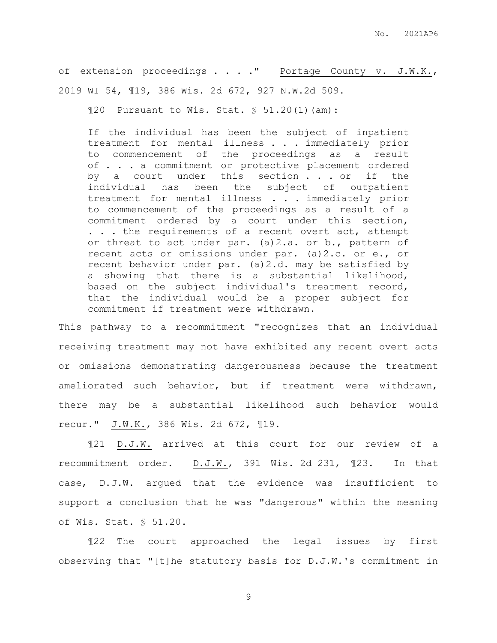of extension proceedings . . . . " Portage County v. J.W.K., 2019 WI 54, ¶19, 386 Wis. 2d 672, 927 N.W.2d 509.

 $$20$  Pursuant to Wis. Stat.  $$51.20(1)(am):$ 

If the individual has been the subject of inpatient treatment for mental illness . . . immediately prior to commencement of the proceedings as a result of . . . a commitment or protective placement ordered by a court under this section . . . or if the individual has been the subject of outpatient treatment for mental illness . . . immediately prior to commencement of the proceedings as a result of a commitment ordered by a court under this section, . . . the requirements of a recent overt act, attempt or threat to act under par. (a)2.a. or b., pattern of recent acts or omissions under par. (a)2.c. or e., or recent behavior under par. (a)2.d. may be satisfied by a showing that there is a substantial likelihood, based on the subject individual's treatment record, that the individual would be a proper subject for commitment if treatment were withdrawn.

This pathway to a recommitment "recognizes that an individual receiving treatment may not have exhibited any recent overt acts or omissions demonstrating dangerousness because the treatment ameliorated such behavior, but if treatment were withdrawn, there may be a substantial likelihood such behavior would recur." J.W.K., 386 Wis. 2d 672, ¶19.

¶21 D.J.W. arrived at this court for our review of a recommitment order. D.J.W., 391 Wis. 2d 231, ¶23. In that case, D.J.W. argued that the evidence was insufficient to support a conclusion that he was "dangerous" within the meaning of Wis. Stat. § 51.20.

¶22 The court approached the legal issues by first observing that "[t]he statutory basis for D.J.W.'s commitment in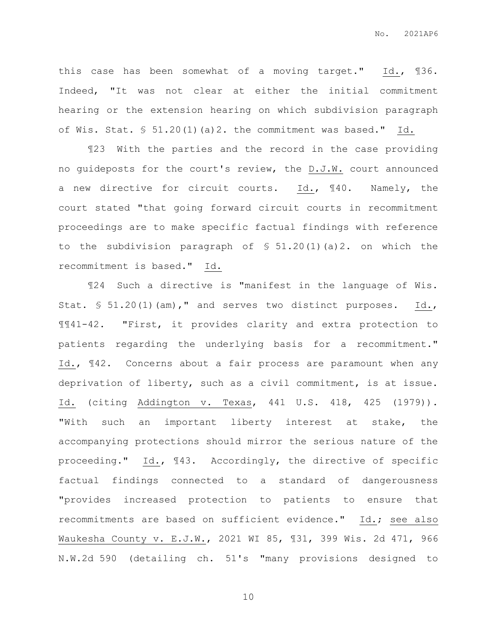this case has been somewhat of a moving target." Id., ¶36. Indeed, "It was not clear at either the initial commitment hearing or the extension hearing on which subdivision paragraph of Wis. Stat. § 51.20(1)(a)2. the commitment was based." Id.

¶23 With the parties and the record in the case providing no guideposts for the court's review, the D.J.W. court announced a new directive for circuit courts. Id., ¶40. Namely, the court stated "that going forward circuit courts in recommitment proceedings are to make specific factual findings with reference to the subdivision paragraph of  $\$ 51.20(1)(a)2$ . on which the recommitment is based." Id.

¶24 Such a directive is "manifest in the language of Wis. Stat. § 51.20(1)(am)," and serves two distinct purposes. Id., ¶¶41-42. "First, it provides clarity and extra protection to patients regarding the underlying basis for a recommitment." Id., ¶42. Concerns about a fair process are paramount when any deprivation of liberty, such as a civil commitment, is at issue. Id. (citing Addington v. Texas, 441 U.S. 418, 425 (1979)). "With such an important liberty interest at stake, the accompanying protections should mirror the serious nature of the proceeding." Id., ¶43. Accordingly, the directive of specific factual findings connected to a standard of dangerousness "provides increased protection to patients to ensure that recommitments are based on sufficient evidence." Id.; see also Waukesha County v. E.J.W., 2021 WI 85, ¶31, 399 Wis. 2d 471, 966 N.W.2d 590 (detailing ch. 51's "many provisions designed to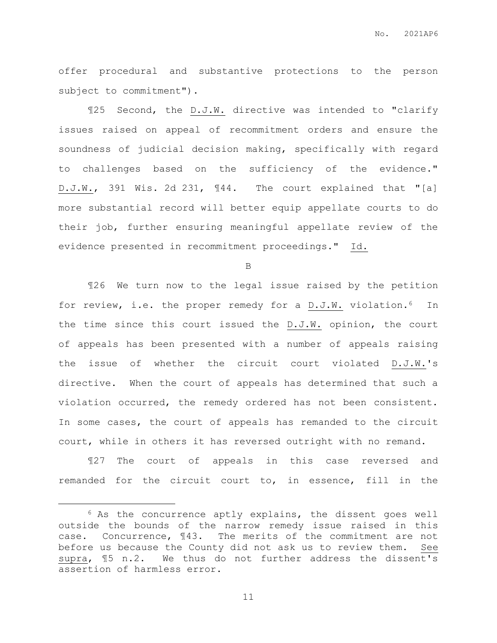offer procedural and substantive protections to the person subject to commitment").

¶25 Second, the D.J.W. directive was intended to "clarify issues raised on appeal of recommitment orders and ensure the soundness of judicial decision making, specifically with regard to challenges based on the sufficiency of the evidence." D.J.W., 391 Wis. 2d 231, ¶44. The court explained that "[a] more substantial record will better equip appellate courts to do their job, further ensuring meaningful appellate review of the evidence presented in recommitment proceedings." Id.

B

¶26 We turn now to the legal issue raised by the petition for review, i.e. the proper remedy for a D.J.W. violation.<sup>6</sup> In the time since this court issued the D.J.W. opinion, the court of appeals has been presented with a number of appeals raising the issue of whether the circuit court violated D.J.W.'s directive. When the court of appeals has determined that such a violation occurred, the remedy ordered has not been consistent. In some cases, the court of appeals has remanded to the circuit court, while in others it has reversed outright with no remand.

¶27 The court of appeals in this case reversed and remanded for the circuit court to, in essence, fill in the

 $\overline{a}$ 

<sup>6</sup> As the concurrence aptly explains, the dissent goes well outside the bounds of the narrow remedy issue raised in this case. Concurrence, ¶43. The merits of the commitment are not before us because the County did not ask us to review them. See supra, ¶5 n.2. We thus do not further address the dissent's assertion of harmless error.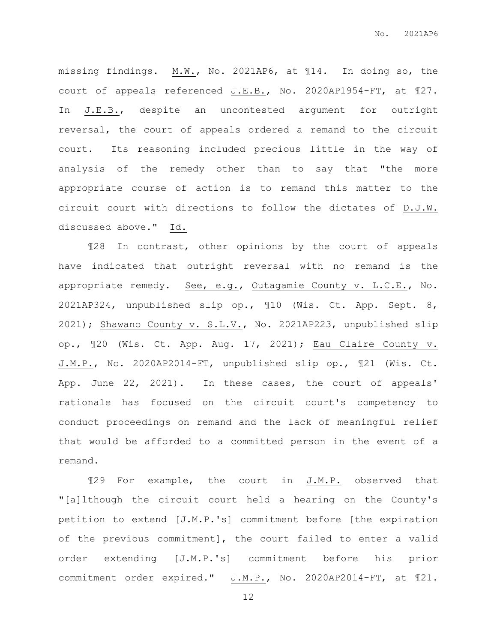missing findings. M.W., No. 2021AP6, at ¶14. In doing so, the court of appeals referenced J.E.B., No. 2020AP1954-FT, at ¶27. In J.E.B., despite an uncontested argument for outright reversal, the court of appeals ordered a remand to the circuit court. Its reasoning included precious little in the way of analysis of the remedy other than to say that "the more appropriate course of action is to remand this matter to the circuit court with directions to follow the dictates of D.J.W. discussed above." Id.

¶28 In contrast, other opinions by the court of appeals have indicated that outright reversal with no remand is the appropriate remedy. See, e.g., Outagamie County v. L.C.E., No. 2021AP324, unpublished slip op., ¶10 (Wis. Ct. App. Sept. 8, 2021); Shawano County v. S.L.V., No. 2021AP223, unpublished slip op., ¶20 (Wis. Ct. App. Aug. 17, 2021); Eau Claire County v. J.M.P., No. 2020AP2014-FT, unpublished slip op., ¶21 (Wis. Ct. App. June 22, 2021). In these cases, the court of appeals' rationale has focused on the circuit court's competency to conduct proceedings on remand and the lack of meaningful relief that would be afforded to a committed person in the event of a remand.

¶29 For example, the court in J.M.P. observed that "[a]lthough the circuit court held a hearing on the County's petition to extend [J.M.P.'s] commitment before [the expiration of the previous commitment], the court failed to enter a valid order extending [J.M.P.'s] commitment before his prior commitment order expired." J.M.P., No. 2020AP2014-FT, at 121.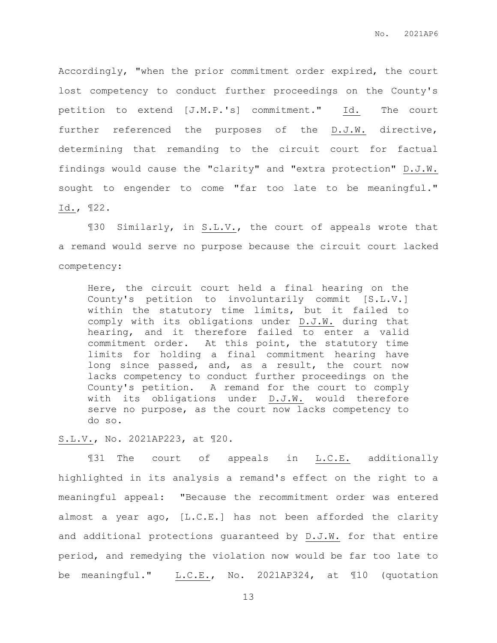Accordingly, "when the prior commitment order expired, the court lost competency to conduct further proceedings on the County's petition to extend [J.M.P.'s] commitment." Id. The court further referenced the purposes of the D.J.W. directive, determining that remanding to the circuit court for factual findings would cause the "clarity" and "extra protection" D.J.W. sought to engender to come "far too late to be meaningful." Id., ¶22.

¶30 Similarly, in S.L.V., the court of appeals wrote that a remand would serve no purpose because the circuit court lacked competency:

Here, the circuit court held a final hearing on the County's petition to involuntarily commit [S.L.V.] within the statutory time limits, but it failed to comply with its obligations under D.J.W. during that hearing, and it therefore failed to enter a valid commitment order. At this point, the statutory time limits for holding a final commitment hearing have long since passed, and, as a result, the court now lacks competency to conduct further proceedings on the County's petition. A remand for the court to comply with its obligations under D.J.W. would therefore serve no purpose, as the court now lacks competency to do so.

### S.L.V., No. 2021AP223, at ¶20.

¶31 The court of appeals in L.C.E. additionally highlighted in its analysis a remand's effect on the right to a meaningful appeal: "Because the recommitment order was entered almost a year ago, [L.C.E.] has not been afforded the clarity and additional protections guaranteed by D.J.W. for that entire period, and remedying the violation now would be far too late to be meaningful." L.C.E., No. 2021AP324, at ¶10 (quotation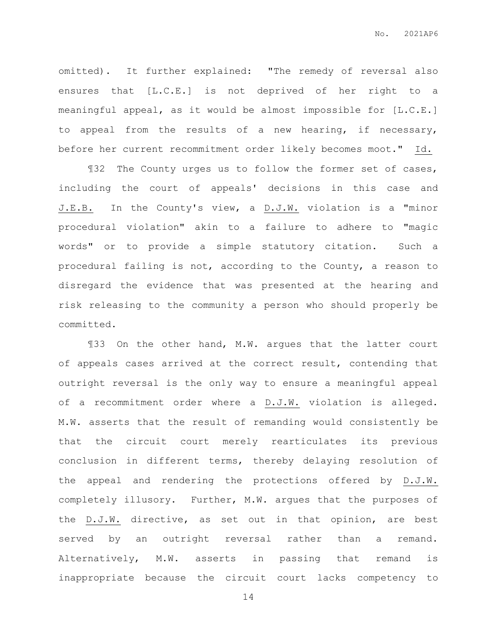omitted). It further explained: "The remedy of reversal also ensures that [L.C.E.] is not deprived of her right to a meaningful appeal, as it would be almost impossible for [L.C.E.] to appeal from the results of a new hearing, if necessary, before her current recommitment order likely becomes moot." Id.

¶32 The County urges us to follow the former set of cases, including the court of appeals' decisions in this case and J.E.B. In the County's view, a D.J.W. violation is a "minor procedural violation" akin to a failure to adhere to "magic words" or to provide a simple statutory citation. Such a procedural failing is not, according to the County, a reason to disregard the evidence that was presented at the hearing and risk releasing to the community a person who should properly be committed.

¶33 On the other hand, M.W. argues that the latter court of appeals cases arrived at the correct result, contending that outright reversal is the only way to ensure a meaningful appeal of a recommitment order where a D.J.W. violation is alleged. M.W. asserts that the result of remanding would consistently be that the circuit court merely rearticulates its previous conclusion in different terms, thereby delaying resolution of the appeal and rendering the protections offered by D.J.W. completely illusory. Further, M.W. argues that the purposes of the D.J.W. directive, as set out in that opinion, are best served by an outright reversal rather than a remand. Alternatively, M.W. asserts in passing that remand is inappropriate because the circuit court lacks competency to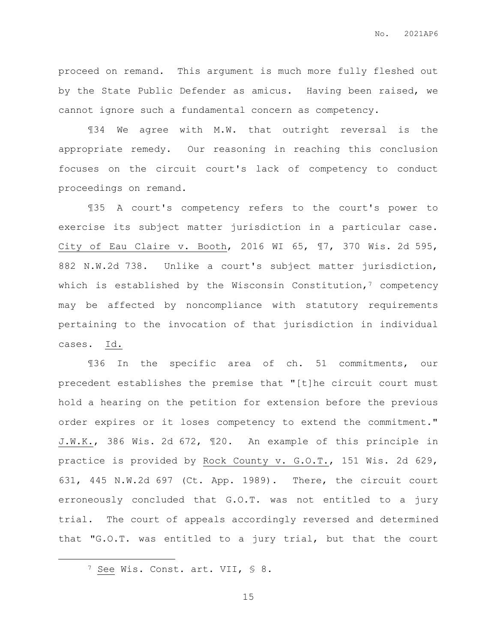proceed on remand. This argument is much more fully fleshed out by the State Public Defender as amicus. Having been raised, we cannot ignore such a fundamental concern as competency.

¶34 We agree with M.W. that outright reversal is the appropriate remedy. Our reasoning in reaching this conclusion focuses on the circuit court's lack of competency to conduct proceedings on remand.

¶35 A court's competency refers to the court's power to exercise its subject matter jurisdiction in a particular case. City of Eau Claire v. Booth, 2016 WI 65, ¶7, 370 Wis. 2d 595, 882 N.W.2d 738. Unlike a court's subject matter jurisdiction, which is established by the Wisconsin Constitution, $7$  competency may be affected by noncompliance with statutory requirements pertaining to the invocation of that jurisdiction in individual cases. Id.

¶36 In the specific area of ch. 51 commitments, our precedent establishes the premise that "[t]he circuit court must hold a hearing on the petition for extension before the previous order expires or it loses competency to extend the commitment." J.W.K., 386 Wis. 2d 672, ¶20. An example of this principle in practice is provided by Rock County v. G.O.T., 151 Wis. 2d 629, 631, 445 N.W.2d 697 (Ct. App. 1989). There, the circuit court erroneously concluded that G.O.T. was not entitled to a jury trial. The court of appeals accordingly reversed and determined that "G.O.T. was entitled to a jury trial, but that the court

 $\overline{a}$ 

<sup>7</sup> See Wis. Const. art. VII, § 8.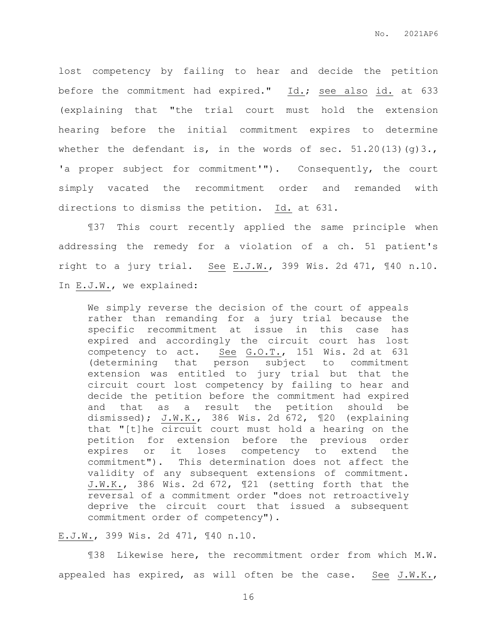lost competency by failing to hear and decide the petition before the commitment had expired." Id.; see also id. at 633 (explaining that "the trial court must hold the extension hearing before the initial commitment expires to determine whether the defendant is, in the words of sec.  $51.20(13)(g)3.$ , 'a proper subject for commitment'"). Consequently, the court simply vacated the recommitment order and remanded with directions to dismiss the petition. Id. at 631.

¶37 This court recently applied the same principle when addressing the remedy for a violation of a ch. 51 patient's right to a jury trial. See E.J.W., 399 Wis. 2d 471, ¶40 n.10. In E.J.W., we explained:

We simply reverse the decision of the court of appeals rather than remanding for a jury trial because the specific recommitment at issue in this case has expired and accordingly the circuit court has lost competency to act. See G.O.T., 151 Wis. 2d at 631 (determining that person subject to commitment extension was entitled to jury trial but that the circuit court lost competency by failing to hear and decide the petition before the commitment had expired and that as a result the petition should be dismissed); J.W.K., 386 Wis. 2d 672, ¶20 (explaining that "[t]he circuit court must hold a hearing on the petition for extension before the previous order expires or it loses competency to extend the commitment"). This determination does not affect the validity of any subsequent extensions of commitment. J.W.K., 386 Wis. 2d 672, ¶21 (setting forth that the reversal of a commitment order "does not retroactively deprive the circuit court that issued a subsequent commitment order of competency").

## E.J.W., 399 Wis. 2d 471, ¶40 n.10.

¶38 Likewise here, the recommitment order from which M.W. appealed has expired, as will often be the case. See J.W.K.,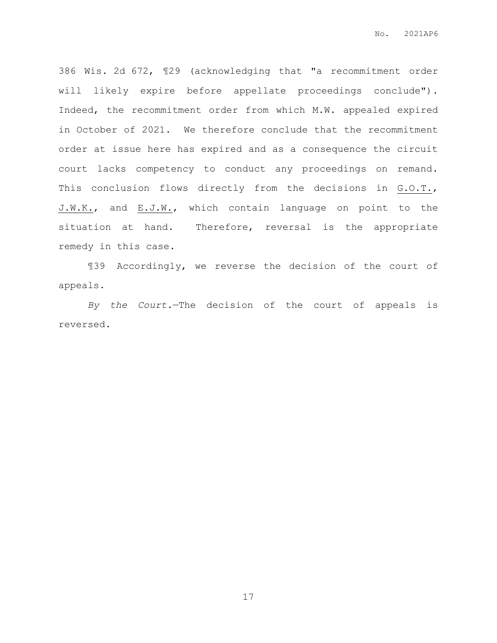386 Wis. 2d 672, ¶29 (acknowledging that "a recommitment order will likely expire before appellate proceedings conclude"). Indeed, the recommitment order from which M.W. appealed expired in October of 2021. We therefore conclude that the recommitment order at issue here has expired and as a consequence the circuit court lacks competency to conduct any proceedings on remand. This conclusion flows directly from the decisions in G.O.T., J.W.K., and E.J.W., which contain language on point to the situation at hand. Therefore, reversal is the appropriate remedy in this case.

¶39 Accordingly, we reverse the decision of the court of appeals.

*By the Court.*—The decision of the court of appeals is reversed.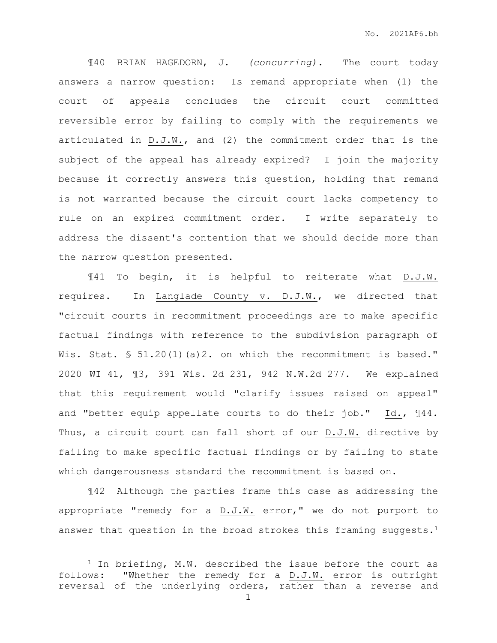¶40 BRIAN HAGEDORN, J. *(concurring).* The court today answers a narrow question: Is remand appropriate when (1) the court of appeals concludes the circuit court committed reversible error by failing to comply with the requirements we articulated in D.J.W., and (2) the commitment order that is the subject of the appeal has already expired? I join the majority because it correctly answers this question, holding that remand is not warranted because the circuit court lacks competency to rule on an expired commitment order. I write separately to address the dissent's contention that we should decide more than the narrow question presented.

¶41 To begin, it is helpful to reiterate what D.J.W. requires. In Langlade County v. D.J.W., we directed that "circuit courts in recommitment proceedings are to make specific factual findings with reference to the subdivision paragraph of Wis. Stat.  $\$ 51.20(1)$  (a) 2. on which the recommitment is based." 2020 WI 41, ¶3, 391 Wis. 2d 231, 942 N.W.2d 277. We explained that this requirement would "clarify issues raised on appeal" and "better equip appellate courts to do their job." Id., ¶44. Thus, a circuit court can fall short of our D.J.W. directive by failing to make specific factual findings or by failing to state which dangerousness standard the recommitment is based on.

¶42 Although the parties frame this case as addressing the appropriate "remedy for a D.J.W. error," we do not purport to answer that question in the broad strokes this framing suggests.<sup>1</sup>

 $\overline{a}$ 

<sup>1</sup> In briefing, M.W. described the issue before the court as follows: "Whether the remedy for a D.J.W. error is outright reversal of the underlying orders, rather than a reverse and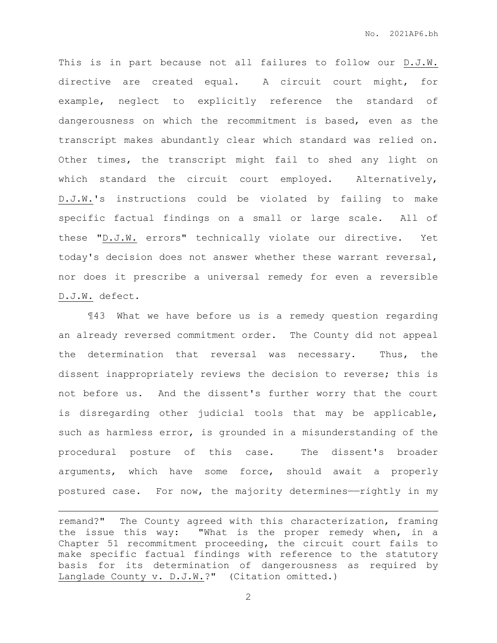This is in part because not all failures to follow our D.J.W. directive are created equal. A circuit court might, for example, neglect to explicitly reference the standard of dangerousness on which the recommitment is based, even as the transcript makes abundantly clear which standard was relied on. Other times, the transcript might fail to shed any light on which standard the circuit court employed. Alternatively, D.J.W.'s instructions could be violated by failing to make specific factual findings on a small or large scale. All of these "D.J.W. errors" technically violate our directive. Yet today's decision does not answer whether these warrant reversal, nor does it prescribe a universal remedy for even a reversible D.J.W. defect.

¶43 What we have before us is a remedy question regarding an already reversed commitment order. The County did not appeal the determination that reversal was necessary. Thus, the dissent inappropriately reviews the decision to reverse; this is not before us. And the dissent's further worry that the court is disregarding other judicial tools that may be applicable, such as harmless error, is grounded in a misunderstanding of the procedural posture of this case. The dissent's broader arguments, which have some force, should await a properly postured case. For now, the majority determines——rightly in my

 $\overline{a}$ 

remand?" The County agreed with this characterization, framing the issue this way: "What is the proper remedy when, in a Chapter 51 recommitment proceeding, the circuit court fails to make specific factual findings with reference to the statutory basis for its determination of dangerousness as required by Langlade County v. D.J.W.?" (Citation omitted.)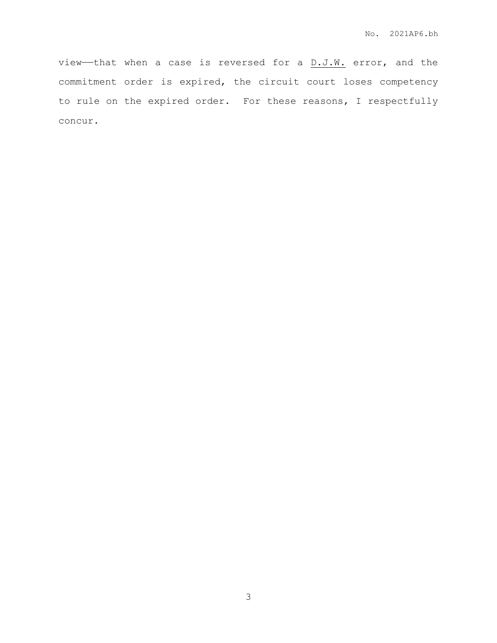view—that when a case is reversed for a  $D.J.W.$  error, and the commitment order is expired, the circuit court loses competency to rule on the expired order. For these reasons, I respectfully concur.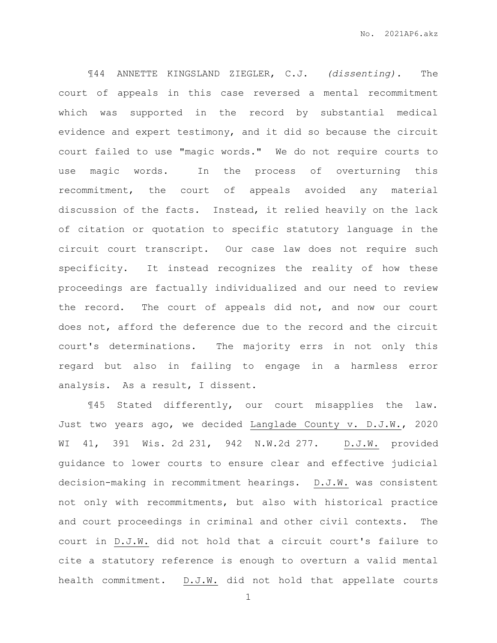¶44 ANNETTE KINGSLAND ZIEGLER, C.J. *(dissenting).* The court of appeals in this case reversed a mental recommitment which was supported in the record by substantial medical evidence and expert testimony, and it did so because the circuit court failed to use "magic words." We do not require courts to use magic words. In the process of overturning this recommitment, the court of appeals avoided any material discussion of the facts. Instead, it relied heavily on the lack of citation or quotation to specific statutory language in the circuit court transcript. Our case law does not require such specificity. It instead recognizes the reality of how these proceedings are factually individualized and our need to review the record. The court of appeals did not, and now our court does not, afford the deference due to the record and the circuit court's determinations. The majority errs in not only this regard but also in failing to engage in a harmless error analysis. As a result, I dissent.

¶45 Stated differently, our court misapplies the law. Just two years ago, we decided Langlade County v. D.J.W., 2020 WI 41, 391 Wis. 2d 231, 942 N.W.2d 277. D.J.W. provided guidance to lower courts to ensure clear and effective judicial decision-making in recommitment hearings. D.J.W. was consistent not only with recommitments, but also with historical practice and court proceedings in criminal and other civil contexts. The court in D.J.W. did not hold that a circuit court's failure to cite a statutory reference is enough to overturn a valid mental health commitment. D.J.W. did not hold that appellate courts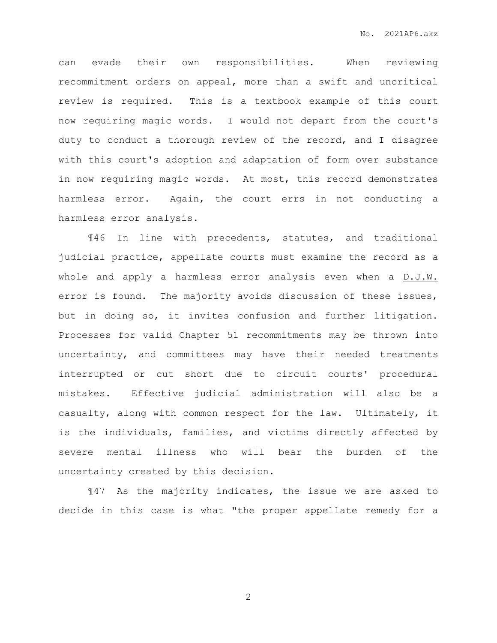can evade their own responsibilities. When reviewing recommitment orders on appeal, more than a swift and uncritical review is required. This is a textbook example of this court now requiring magic words. I would not depart from the court's duty to conduct a thorough review of the record, and I disagree with this court's adoption and adaptation of form over substance in now requiring magic words. At most, this record demonstrates harmless error. Again, the court errs in not conducting a harmless error analysis.

¶46 In line with precedents, statutes, and traditional judicial practice, appellate courts must examine the record as a whole and apply a harmless error analysis even when a D.J.W. error is found. The majority avoids discussion of these issues, but in doing so, it invites confusion and further litigation. Processes for valid Chapter 51 recommitments may be thrown into uncertainty, and committees may have their needed treatments interrupted or cut short due to circuit courts' procedural mistakes. Effective judicial administration will also be a casualty, along with common respect for the law. Ultimately, it is the individuals, families, and victims directly affected by severe mental illness who will bear the burden of the uncertainty created by this decision.

¶47 As the majority indicates, the issue we are asked to decide in this case is what "the proper appellate remedy for a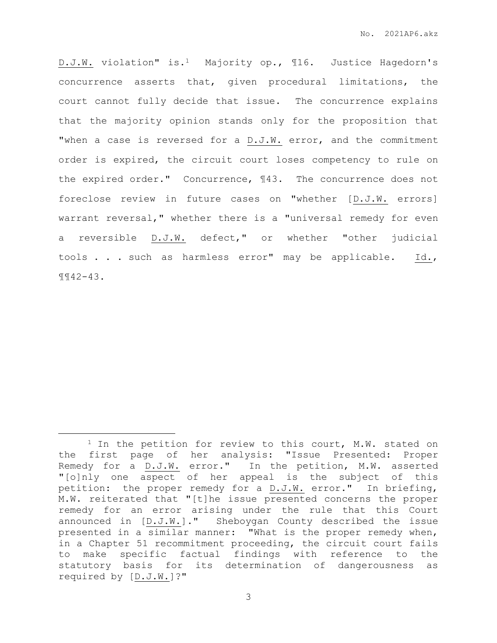D.J.W. violation" is.1 Majority op., ¶16. Justice Hagedorn's concurrence asserts that, given procedural limitations, the court cannot fully decide that issue. The concurrence explains that the majority opinion stands only for the proposition that "when a case is reversed for a D.J.W. error, and the commitment order is expired, the circuit court loses competency to rule on the expired order." Concurrence, ¶43. The concurrence does not foreclose review in future cases on "whether [D.J.W. errors] warrant reversal," whether there is a "universal remedy for even a reversible D.J.W. defect," or whether "other judicial tools . . . such as harmless error" may be applicable. Id., ¶¶42-43.

 $\overline{a}$ 

<sup>&</sup>lt;sup>1</sup> In the petition for review to this court, M.W. stated on the first page of her analysis: "Issue Presented: Proper Remedy for a D.J.W. error." In the petition, M.W. asserted "[o]nly one aspect of her appeal is the subject of this petition: the proper remedy for a D.J.W. error." In briefing, M.W. reiterated that "[t]he issue presented concerns the proper remedy for an error arising under the rule that this Court announced in [D.J.W.]." Sheboygan County described the issue presented in a similar manner: "What is the proper remedy when, in a Chapter 51 recommitment proceeding, the circuit court fails to make specific factual findings with reference to the statutory basis for its determination of dangerousness as required by [D.J.W.]?"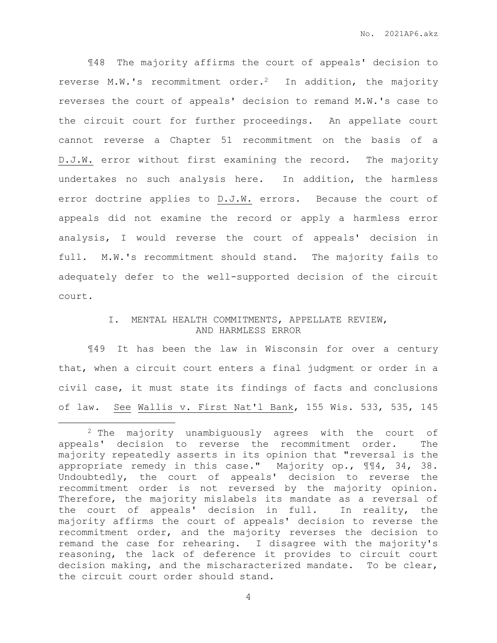¶48 The majority affirms the court of appeals' decision to reverse M.W.'s recommitment order.2 In addition, the majority reverses the court of appeals' decision to remand M.W.'s case to the circuit court for further proceedings. An appellate court cannot reverse a Chapter 51 recommitment on the basis of a D.J.W. error without first examining the record. The majority undertakes no such analysis here. In addition, the harmless error doctrine applies to D.J.W. errors. Because the court of appeals did not examine the record or apply a harmless error analysis, I would reverse the court of appeals' decision in full. M.W.'s recommitment should stand. The majority fails to adequately defer to the well-supported decision of the circuit court.

## I. MENTAL HEALTH COMMITMENTS, APPELLATE REVIEW, AND HARMLESS ERROR

¶49 It has been the law in Wisconsin for over a century that, when a circuit court enters a final judgment or order in a civil case, it must state its findings of facts and conclusions of law. See Wallis v. First Nat'l Bank, 155 Wis. 533, 535, 145

 $\overline{a}$ 

<sup>2</sup> The majority unambiguously agrees with the court of appeals' decision to reverse the recommitment order. The majority repeatedly asserts in its opinion that "reversal is the appropriate remedy in this case." Majority op., ¶¶4, 34, 38. Undoubtedly, the court of appeals' decision to reverse the recommitment order is not reversed by the majority opinion. Therefore, the majority mislabels its mandate as a reversal of the court of appeals' decision in full. In reality, the majority affirms the court of appeals' decision to reverse the recommitment order, and the majority reverses the decision to remand the case for rehearing. I disagree with the majority's reasoning, the lack of deference it provides to circuit court decision making, and the mischaracterized mandate. To be clear, the circuit court order should stand.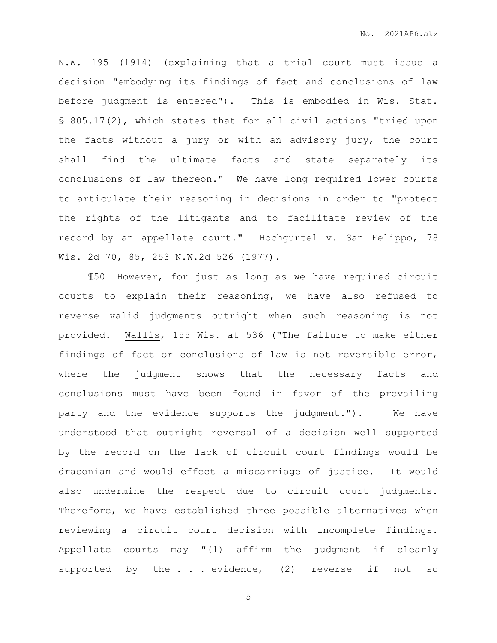N.W. 195 (1914) (explaining that a trial court must issue a decision "embodying its findings of fact and conclusions of law before judgment is entered"). This is embodied in Wis. Stat. § 805.17(2), which states that for all civil actions "tried upon the facts without a jury or with an advisory jury, the court shall find the ultimate facts and state separately its conclusions of law thereon." We have long required lower courts to articulate their reasoning in decisions in order to "protect the rights of the litigants and to facilitate review of the record by an appellate court." Hochgurtel v. San Felippo, 78 Wis. 2d 70, 85, 253 N.W.2d 526 (1977).

¶50 However, for just as long as we have required circuit courts to explain their reasoning, we have also refused to reverse valid judgments outright when such reasoning is not provided. Wallis, 155 Wis. at 536 ("The failure to make either findings of fact or conclusions of law is not reversible error, where the judgment shows that the necessary facts and conclusions must have been found in favor of the prevailing party and the evidence supports the judgment."). We have understood that outright reversal of a decision well supported by the record on the lack of circuit court findings would be draconian and would effect a miscarriage of justice. It would also undermine the respect due to circuit court judgments. Therefore, we have established three possible alternatives when reviewing a circuit court decision with incomplete findings. Appellate courts may "(1) affirm the judgment if clearly supported by the . . . evidence, (2) reverse if not so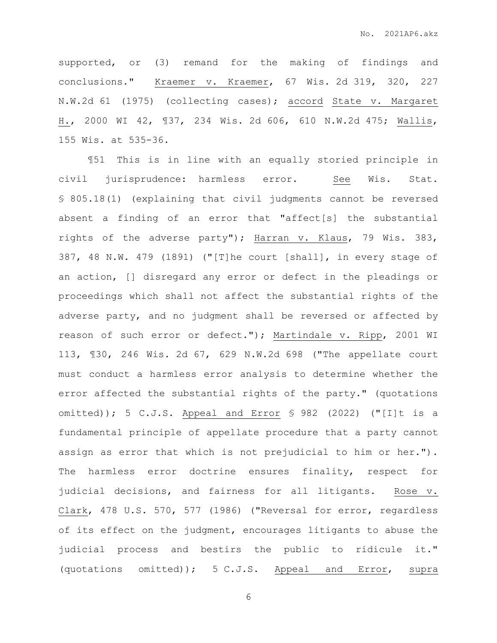supported, or (3) remand for the making of findings and conclusions." Kraemer v. Kraemer, 67 Wis. 2d 319, 320, 227 N.W.2d 61 (1975) (collecting cases); accord State v. Margaret H., 2000 WI 42, ¶37, 234 Wis. 2d 606, 610 N.W.2d 475; Wallis, 155 Wis. at 535-36.

¶51 This is in line with an equally storied principle in civil jurisprudence: harmless error. See Wis. Stat. § 805.18(1) (explaining that civil judgments cannot be reversed absent a finding of an error that "affect[s] the substantial rights of the adverse party"); Harran v. Klaus, 79 Wis. 383, 387, 48 N.W. 479 (1891) ("[T]he court [shall], in every stage of an action, [] disregard any error or defect in the pleadings or proceedings which shall not affect the substantial rights of the adverse party, and no judgment shall be reversed or affected by reason of such error or defect."); Martindale v. Ripp, 2001 WI 113, ¶30, 246 Wis. 2d 67, 629 N.W.2d 698 ("The appellate court must conduct a harmless error analysis to determine whether the error affected the substantial rights of the party." (quotations omitted)); 5 C.J.S. Appeal and Error § 982 (2022) ("[I]t is a fundamental principle of appellate procedure that a party cannot assign as error that which is not prejudicial to him or her."). The harmless error doctrine ensures finality, respect for judicial decisions, and fairness for all litigants. Rose v. Clark, 478 U.S. 570, 577 (1986) ("Reversal for error, regardless of its effect on the judgment, encourages litigants to abuse the judicial process and bestirs the public to ridicule it." (quotations omitted)); 5 C.J.S. Appeal and Error, supra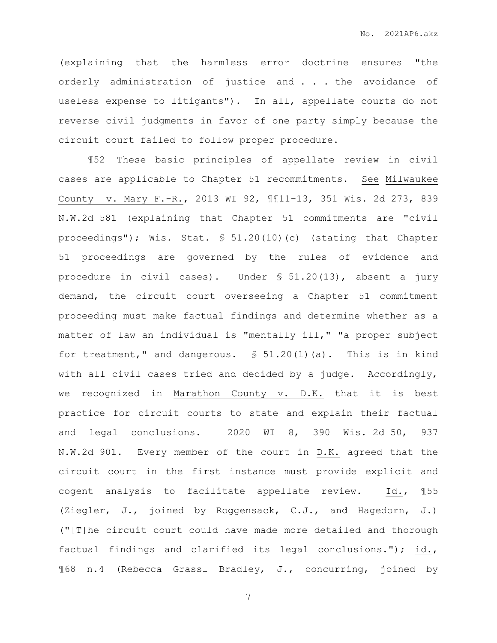(explaining that the harmless error doctrine ensures "the orderly administration of justice and . . . the avoidance of useless expense to litigants"). In all, appellate courts do not reverse civil judgments in favor of one party simply because the circuit court failed to follow proper procedure.

¶52 These basic principles of appellate review in civil cases are applicable to Chapter 51 recommitments. See Milwaukee County v. Mary F.-R., 2013 WI 92, ¶¶11-13, 351 Wis. 2d 273, 839 N.W.2d 581 (explaining that Chapter 51 commitments are "civil proceedings"); Wis. Stat. § 51.20(10)(c) (stating that Chapter 51 proceedings are governed by the rules of evidence and procedure in civil cases). Under § 51.20(13), absent a jury demand, the circuit court overseeing a Chapter 51 commitment proceeding must make factual findings and determine whether as a matter of law an individual is "mentally ill," "a proper subject for treatment," and dangerous. § 51.20(1)(a). This is in kind with all civil cases tried and decided by a judge. Accordingly, we recognized in Marathon County v. D.K. that it is best practice for circuit courts to state and explain their factual and legal conclusions. 2020 WI 8, 390 Wis. 2d 50, 937 N.W.2d 901. Every member of the court in D.K. agreed that the circuit court in the first instance must provide explicit and cogent analysis to facilitate appellate review. Id., ¶55 (Ziegler, J., joined by Roggensack, C.J., and Hagedorn, J.) ("[T]he circuit court could have made more detailed and thorough factual findings and clarified its legal conclusions."); id., ¶68 n.4 (Rebecca Grassl Bradley, J., concurring, joined by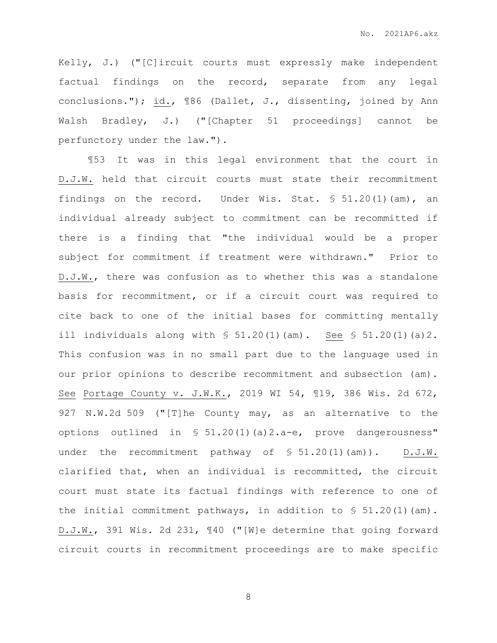Kelly, J.) ("[C]ircuit courts must expressly make independent factual findings on the record, separate from any legal conclusions."); id., 186 (Dallet, J., dissenting, joined by Ann Walsh Bradley, J.) ("[Chapter 51 proceedings] cannot be perfunctory under the law.").

¶53 It was in this legal environment that the court in D.J.W. held that circuit courts must state their recommitment findings on the record. Under Wis. Stat.  $\text{\$} 51.20(1)$  (am), an individual already subject to commitment can be recommitted if there is a finding that "the individual would be a proper subject for commitment if treatment were withdrawn." Prior to D.J.W., there was confusion as to whether this was a standalone basis for recommitment, or if a circuit court was required to cite back to one of the initial bases for committing mentally ill individuals along with  $\frac{1}{5}$  51.20(1)(am). See  $\frac{1}{5}$  51.20(1)(a)2. This confusion was in no small part due to the language used in our prior opinions to describe recommitment and subsection (am). See Portage County v. J.W.K., 2019 WI 54, ¶19, 386 Wis. 2d 672, 927 N.W.2d 509 ("[T]he County may, as an alternative to the options outlined in § 51.20(1)(a)2.a-e, prove dangerousness" under the recommitment pathway of  $\S$  51.20(1)(am)). D.J.W. clarified that, when an individual is recommitted, the circuit court must state its factual findings with reference to one of the initial commitment pathways, in addition to  $\$ 51.20(1)(am)$ . D.J.W., 391 Wis. 2d 231, ¶40 ("[W]e determine that going forward circuit courts in recommitment proceedings are to make specific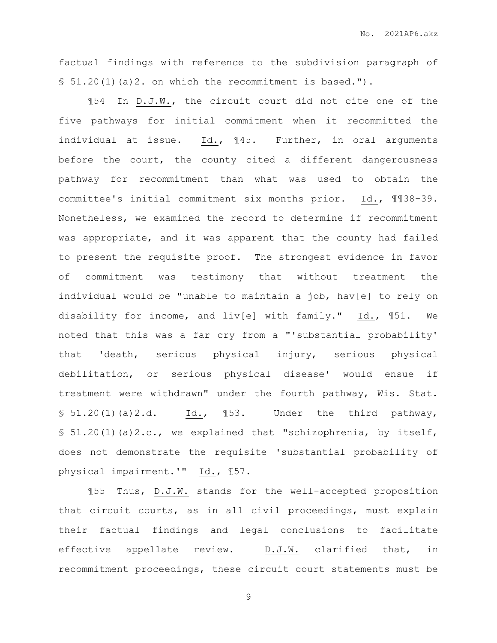factual findings with reference to the subdivision paragraph of  $$51.20(1)(a)2.$  on which the recommitment is based.").

¶54 In D.J.W., the circuit court did not cite one of the five pathways for initial commitment when it recommitted the individual at issue. Id., ¶45. Further, in oral arguments before the court, the county cited a different dangerousness pathway for recommitment than what was used to obtain the committee's initial commitment six months prior. Id., ¶¶38-39. Nonetheless, we examined the record to determine if recommitment was appropriate, and it was apparent that the county had failed to present the requisite proof. The strongest evidence in favor of commitment was testimony that without treatment the individual would be "unable to maintain a job, hav[e] to rely on disability for income, and liv[e] with family." Id., ¶51. We noted that this was a far cry from a "'substantial probability' that 'death, serious physical injury, serious physical debilitation, or serious physical disease' would ensue if treatment were withdrawn" under the fourth pathway, Wis. Stat.  $$51.20(1)(a)2.d.$  Id.,  $$53.$  Under the third pathway, § 51.20(1)(a)2.c., we explained that "schizophrenia, by itself, does not demonstrate the requisite 'substantial probability of physical impairment.'" Id., ¶57.

¶55 Thus, D.J.W. stands for the well-accepted proposition that circuit courts, as in all civil proceedings, must explain their factual findings and legal conclusions to facilitate effective appellate review. D.J.W. clarified that, in recommitment proceedings, these circuit court statements must be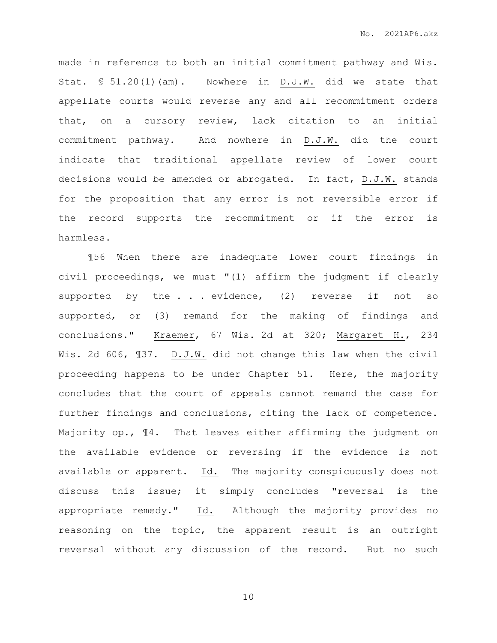made in reference to both an initial commitment pathway and Wis. Stat. § 51.20(1)(am). Nowhere in D.J.W. did we state that appellate courts would reverse any and all recommitment orders that, on a cursory review, lack citation to an initial commitment pathway. And nowhere in D.J.W. did the court indicate that traditional appellate review of lower court decisions would be amended or abrogated. In fact, D.J.W. stands for the proposition that any error is not reversible error if the record supports the recommitment or if the error is harmless.

¶56 When there are inadequate lower court findings in civil proceedings, we must "(1) affirm the judgment if clearly supported by the . . . evidence, (2) reverse if not so supported, or (3) remand for the making of findings and conclusions." Kraemer, 67 Wis. 2d at 320; Margaret H., 234 Wis. 2d 606, ¶37. D.J.W. did not change this law when the civil proceeding happens to be under Chapter 51. Here, the majority concludes that the court of appeals cannot remand the case for further findings and conclusions, citing the lack of competence. Majority op., ¶4. That leaves either affirming the judgment on the available evidence or reversing if the evidence is not available or apparent. Id. The majority conspicuously does not discuss this issue; it simply concludes "reversal is the appropriate remedy." Id. Although the majority provides no reasoning on the topic, the apparent result is an outright reversal without any discussion of the record. But no such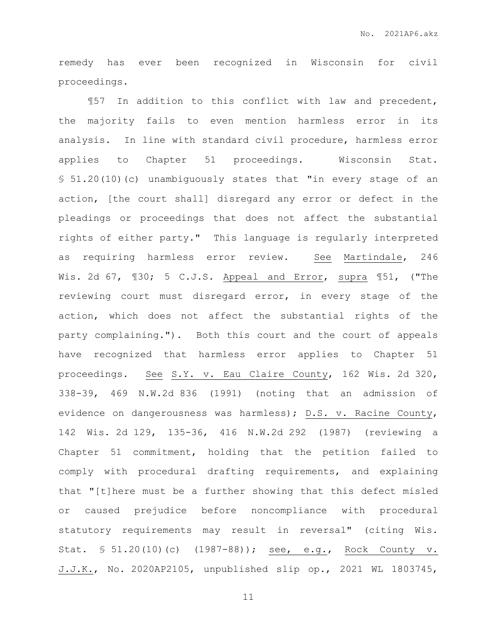remedy has ever been recognized in Wisconsin for civil proceedings.

¶57 In addition to this conflict with law and precedent, the majority fails to even mention harmless error in its analysis. In line with standard civil procedure, harmless error applies to Chapter 51 proceedings. Wisconsin Stat. § 51.20(10)(c) unambiguously states that "in every stage of an action, [the court shall] disregard any error or defect in the pleadings or proceedings that does not affect the substantial rights of either party." This language is regularly interpreted as requiring harmless error review. See Martindale, 246 Wis. 2d 67, ¶30; 5 C.J.S. Appeal and Error, supra ¶51, ("The reviewing court must disregard error, in every stage of the action, which does not affect the substantial rights of the party complaining."). Both this court and the court of appeals have recognized that harmless error applies to Chapter 51 proceedings. See S.Y. v. Eau Claire County, 162 Wis. 2d 320, 338-39, 469 N.W.2d 836 (1991) (noting that an admission of evidence on dangerousness was harmless); D.S. v. Racine County, 142 Wis. 2d 129, 135-36, 416 N.W.2d 292 (1987) (reviewing a Chapter 51 commitment, holding that the petition failed to comply with procedural drafting requirements, and explaining that "[t]here must be a further showing that this defect misled or caused prejudice before noncompliance with procedural statutory requirements may result in reversal" (citing Wis. Stat. § 51.20(10)(c) (1987-88)); see, e.g., Rock County v. J.J.K., No. 2020AP2105, unpublished slip op., 2021 WL 1803745,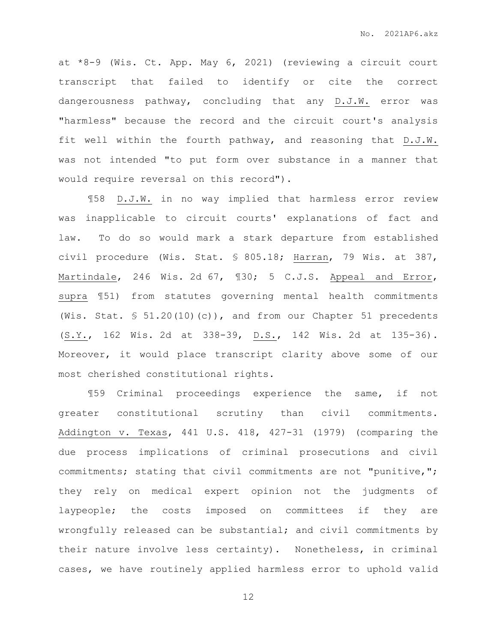at \*8-9 (Wis. Ct. App. May 6, 2021) (reviewing a circuit court transcript that failed to identify or cite the correct dangerousness pathway, concluding that any D.J.W. error was "harmless" because the record and the circuit court's analysis fit well within the fourth pathway, and reasoning that D.J.W. was not intended "to put form over substance in a manner that would require reversal on this record").

¶58 D.J.W. in no way implied that harmless error review was inapplicable to circuit courts' explanations of fact and law. To do so would mark a stark departure from established civil procedure (Wis. Stat. § 805.18; Harran, 79 Wis. at 387, Martindale, 246 Wis. 2d 67, 130; 5 C.J.S. Appeal and Error, supra ¶51) from statutes governing mental health commitments (Wis. Stat. § 51.20(10)(c)), and from our Chapter 51 precedents (S.Y., 162 Wis. 2d at 338-39, D.S., 142 Wis. 2d at 135-36). Moreover, it would place transcript clarity above some of our most cherished constitutional rights.

¶59 Criminal proceedings experience the same, if not greater constitutional scrutiny than civil commitments. Addington v. Texas, 441 U.S. 418, 427-31 (1979) (comparing the due process implications of criminal prosecutions and civil commitments; stating that civil commitments are not "punitive,"; they rely on medical expert opinion not the judgments of laypeople; the costs imposed on committees if they are wrongfully released can be substantial; and civil commitments by their nature involve less certainty). Nonetheless, in criminal cases, we have routinely applied harmless error to uphold valid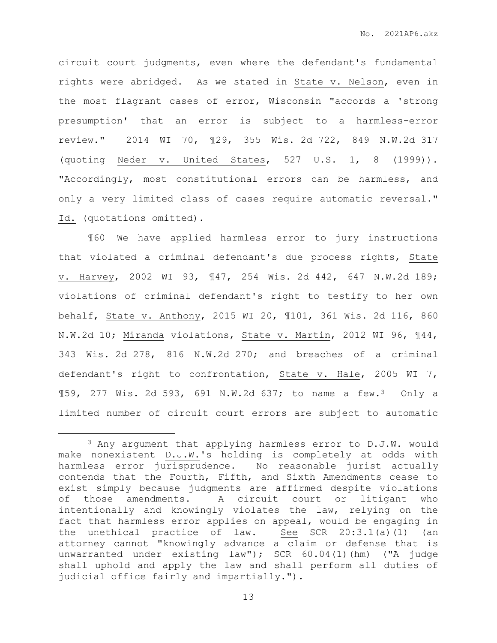circuit court judgments, even where the defendant's fundamental rights were abridged. As we stated in State v. Nelson, even in the most flagrant cases of error, Wisconsin "accords a 'strong presumption' that an error is subject to a harmless-error review." 2014 WI 70, ¶29, 355 Wis. 2d 722, 849 N.W.2d 317 (quoting Neder v. United States, 527 U.S. 1, 8 (1999)). "Accordingly, most constitutional errors can be harmless, and only a very limited class of cases require automatic reversal." Id. (quotations omitted).

¶60 We have applied harmless error to jury instructions that violated a criminal defendant's due process rights, State v. Harvey, 2002 WI 93, ¶47, 254 Wis. 2d 442, 647 N.W.2d 189; violations of criminal defendant's right to testify to her own behalf, State v. Anthony, 2015 WI 20, ¶101, 361 Wis. 2d 116, 860 N.W.2d 10; Miranda violations, State v. Martin, 2012 WI 96, ¶44, 343 Wis. 2d 278, 816 N.W.2d 270; and breaches of a criminal defendant's right to confrontation, State v. Hale, 2005 WI 7, ¶59, 277 Wis. 2d 593, 691 N.W.2d 637; to name a few.3 Only a limited number of circuit court errors are subject to automatic

 $\overline{a}$ 

<sup>3</sup> Any argument that applying harmless error to D.J.W. would make nonexistent D.J.W.'s holding is completely at odds with harmless error jurisprudence. No reasonable jurist actually contends that the Fourth, Fifth, and Sixth Amendments cease to exist simply because judgments are affirmed despite violations of those amendments. A circuit court or litigant who intentionally and knowingly violates the law, relying on the fact that harmless error applies on appeal, would be engaging in the unethical practice of law. See SCR 20:3.1(a)(1) (an attorney cannot "knowingly advance a claim or defense that is unwarranted under existing law"); SCR 60.04(1)(hm) ("A judge shall uphold and apply the law and shall perform all duties of judicial office fairly and impartially.").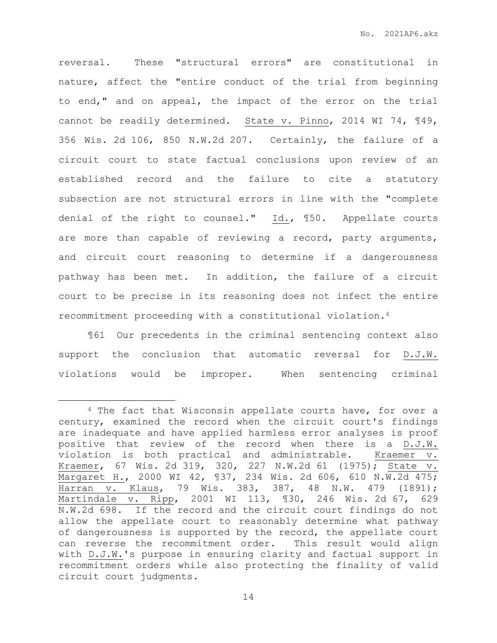reversal. These "structural errors" are constitutional in nature, affect the "entire conduct of the trial from beginning to end," and on appeal, the impact of the error on the trial cannot be readily determined. State v. Pinno, 2014 WI 74, ¶49, 356 Wis. 2d 106, 850 N.W.2d 207. Certainly, the failure of a circuit court to state factual conclusions upon review of an established record and the failure to cite a statutory subsection are not structural errors in line with the "complete denial of the right to counsel." Id., ¶50. Appellate courts are more than capable of reviewing a record, party arguments, and circuit court reasoning to determine if a dangerousness pathway has been met. In addition, the failure of a circuit court to be precise in its reasoning does not infect the entire recommitment proceeding with a constitutional violation.<sup>4</sup>

¶61 Our precedents in the criminal sentencing context also support the conclusion that automatic reversal for D.J.W. violations would be improper. When sentencing criminal

 $\overline{a}$ 

<sup>4</sup> The fact that Wisconsin appellate courts have, for over a century, examined the record when the circuit court's findings are inadequate and have applied harmless error analyses is proof positive that review of the record when there is a D.J.W. violation is both practical and administrable. Kraemer v. Kraemer, 67 Wis. 2d 319, 320, 227 N.W.2d 61 (1975); State v. Margaret H., 2000 WI 42, ¶37, 234 Wis. 2d 606, 610 N.W.2d 475; Harran v. Klaus, 79 Wis. 383, 387, 48 N.W. 479 (1891); Martindale v. Ripp, 2001 WI 113, ¶30, 246 Wis. 2d 67, 629 N.W.2d 698. If the record and the circuit court findings do not allow the appellate court to reasonably determine what pathway of dangerousness is supported by the record, the appellate court can reverse the recommitment order. This result would align with D.J.W.'s purpose in ensuring clarity and factual support in recommitment orders while also protecting the finality of valid circuit court judgments.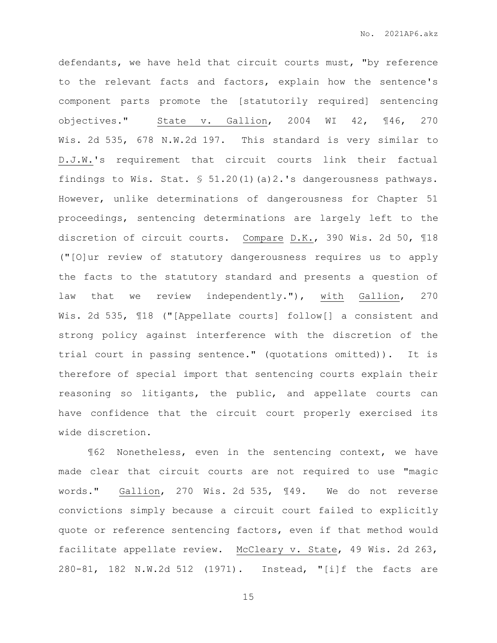defendants, we have held that circuit courts must, "by reference to the relevant facts and factors, explain how the sentence's component parts promote the [statutorily required] sentencing objectives." State v. Gallion, 2004 WI 42, ¶46, 270 Wis. 2d 535, 678 N.W.2d 197. This standard is very similar to D.J.W.'s requirement that circuit courts link their factual findings to Wis. Stat. § 51.20(1)(a)2.'s dangerousness pathways. However, unlike determinations of dangerousness for Chapter 51 proceedings, sentencing determinations are largely left to the discretion of circuit courts. Compare D.K., 390 Wis. 2d 50, ¶18 ("[O]ur review of statutory dangerousness requires us to apply the facts to the statutory standard and presents a question of law that we review independently."), with Gallion, 270 Wis. 2d 535, ¶18 ("[Appellate courts] follow[] a consistent and strong policy against interference with the discretion of the trial court in passing sentence." (quotations omitted)). It is therefore of special import that sentencing courts explain their reasoning so litigants, the public, and appellate courts can have confidence that the circuit court properly exercised its wide discretion.

¶62 Nonetheless, even in the sentencing context, we have made clear that circuit courts are not required to use "magic words." Gallion, 270 Wis. 2d 535, ¶49. We do not reverse convictions simply because a circuit court failed to explicitly quote or reference sentencing factors, even if that method would facilitate appellate review. McCleary v. State, 49 Wis. 2d 263, 280-81, 182 N.W.2d 512 (1971). Instead, "[i]f the facts are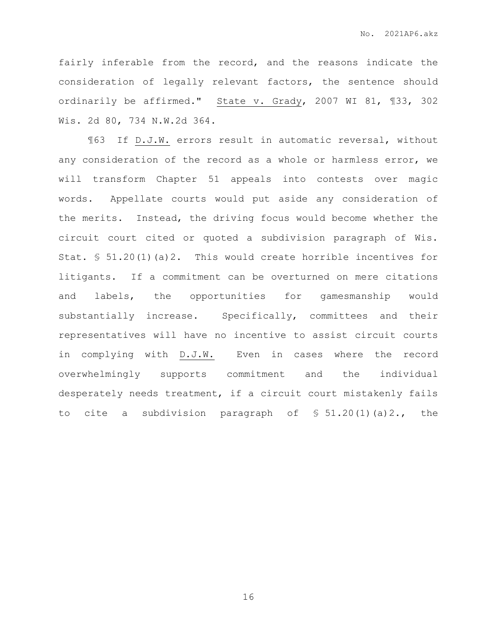fairly inferable from the record, and the reasons indicate the consideration of legally relevant factors, the sentence should ordinarily be affirmed." State v. Grady, 2007 WI 81, ¶33, 302 Wis. 2d 80, 734 N.W.2d 364.

¶63 If D.J.W. errors result in automatic reversal, without any consideration of the record as a whole or harmless error, we will transform Chapter 51 appeals into contests over magic words. Appellate courts would put aside any consideration of the merits. Instead, the driving focus would become whether the circuit court cited or quoted a subdivision paragraph of Wis. Stat. § 51.20(1)(a)2. This would create horrible incentives for litigants. If a commitment can be overturned on mere citations and labels, the opportunities for gamesmanship would substantially increase. Specifically, committees and their representatives will have no incentive to assist circuit courts in complying with D.J.W. Even in cases where the record overwhelmingly supports commitment and the individual desperately needs treatment, if a circuit court mistakenly fails to cite a subdivision paragraph of  $$51.20(1)(a)2.,$  the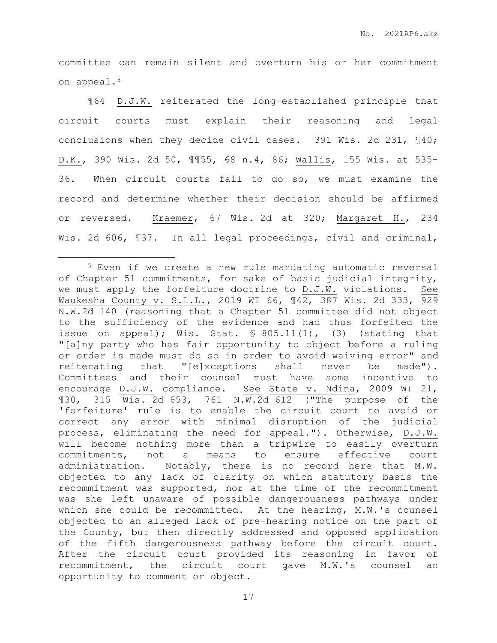committee can remain silent and overturn his or her commitment on appeal.<sup>5</sup>

¶64 D.J.W. reiterated the long-established principle that circuit courts must explain their reasoning and legal conclusions when they decide civil cases. 391 Wis. 2d 231, ¶40; D.K., 390 Wis. 2d 50, ¶¶55, 68 n.4, 86; Wallis, 155 Wis. at 535- 36. When circuit courts fail to do so, we must examine the record and determine whether their decision should be affirmed or reversed. Kraemer, 67 Wis. 2d at 320; Margaret H., 234 Wis. 2d 606, 137. In all legal proceedings, civil and criminal,

 $\overline{a}$ 

<sup>5</sup> Even if we create a new rule mandating automatic reversal of Chapter 51 commitments, for sake of basic judicial integrity, we must apply the forfeiture doctrine to D.J.W. violations. See Waukesha County v. S.L.L., 2019 WI 66, ¶42, 387 Wis. 2d 333, 929 N.W.2d 140 (reasoning that a Chapter 51 committee did not object to the sufficiency of the evidence and had thus forfeited the issue on appeal); Wis. Stat.  $\frac{1}{2}$  805.11(1), (3) (stating that "[a]ny party who has fair opportunity to object before a ruling or order is made must do so in order to avoid waiving error" and reiterating that "[e]xceptions shall never be made"). Committees and their counsel must have some incentive to encourage D.J.W. compliance. See State v. Ndina, 2009 WI 21, ¶30, 315 Wis. 2d 653, 761 N.W.2d 612 ("The purpose of the 'forfeiture' rule is to enable the circuit court to avoid or correct any error with minimal disruption of the judicial process, eliminating the need for appeal."). Otherwise, D.J.W. will become nothing more than a tripwire to easily overturn commitments, not a means to ensure effective court administration. Notably, there is no record here that M.W. objected to any lack of clarity on which statutory basis the recommitment was supported, nor at the time of the recommitment was she left unaware of possible dangerousness pathways under which she could be recommitted. At the hearing, M.W.'s counsel objected to an alleged lack of pre-hearing notice on the part of the County, but then directly addressed and opposed application of the fifth dangerousness pathway before the circuit court. After the circuit court provided its reasoning in favor of recommitment, the circuit court gave M.W.'s counsel an opportunity to comment or object.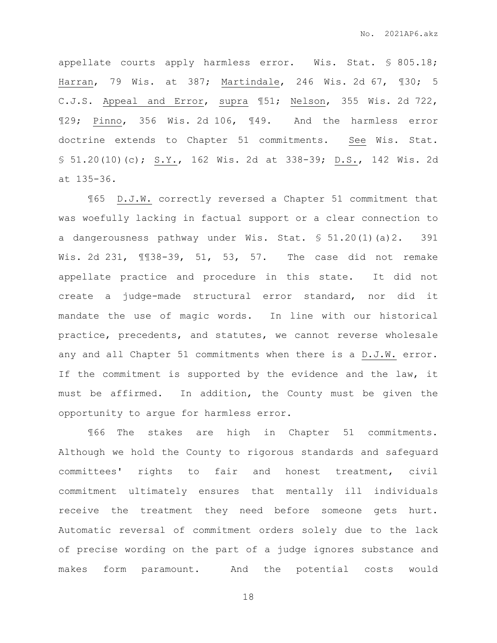appellate courts apply harmless error. Wis. Stat. § 805.18; Harran, 79 Wis. at 387; Martindale, 246 Wis. 2d 67, ¶30; 5 C.J.S. Appeal and Error, supra ¶51; Nelson, 355 Wis. 2d 722, ¶29; Pinno, 356 Wis. 2d 106, ¶49. And the harmless error doctrine extends to Chapter 51 commitments. See Wis. Stat. § 51.20(10)(c); S.Y., 162 Wis. 2d at 338-39; D.S., 142 Wis. 2d at 135-36.

¶65 D.J.W. correctly reversed a Chapter 51 commitment that was woefully lacking in factual support or a clear connection to a dangerousness pathway under Wis. Stat. § 51.20(1)(a)2. 391 Wis. 2d 231, ¶¶38-39, 51, 53, 57. The case did not remake appellate practice and procedure in this state. It did not create a judge-made structural error standard, nor did it mandate the use of magic words. In line with our historical practice, precedents, and statutes, we cannot reverse wholesale any and all Chapter 51 commitments when there is a D.J.W. error. If the commitment is supported by the evidence and the law, it must be affirmed. In addition, the County must be given the opportunity to argue for harmless error.

¶66 The stakes are high in Chapter 51 commitments. Although we hold the County to rigorous standards and safeguard committees' rights to fair and honest treatment, civil commitment ultimately ensures that mentally ill individuals receive the treatment they need before someone gets hurt. Automatic reversal of commitment orders solely due to the lack of precise wording on the part of a judge ignores substance and makes form paramount. And the potential costs would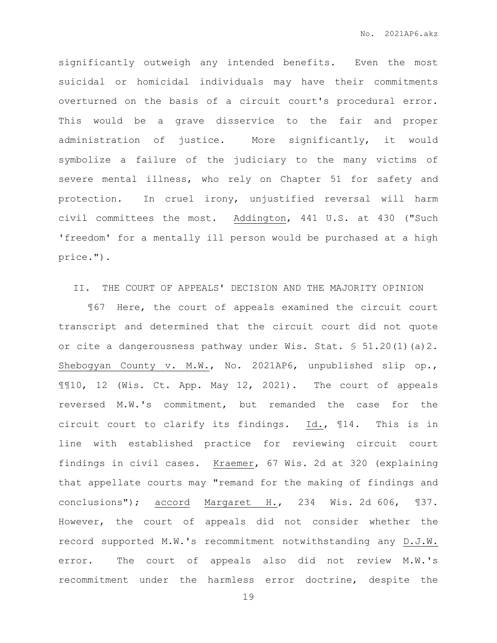significantly outweigh any intended benefits. Even the most suicidal or homicidal individuals may have their commitments overturned on the basis of a circuit court's procedural error. This would be a grave disservice to the fair and proper administration of justice. More significantly, it would symbolize a failure of the judiciary to the many victims of severe mental illness, who rely on Chapter 51 for safety and protection. In cruel irony, unjustified reversal will harm civil committees the most. Addington, 441 U.S. at 430 ("Such 'freedom' for a mentally ill person would be purchased at a high price.").

# II. THE COURT OF APPEALS' DECISION AND THE MAJORITY OPINION

¶67 Here, the court of appeals examined the circuit court transcript and determined that the circuit court did not quote or cite a dangerousness pathway under Wis. Stat.  $$51.20(1)(a)2$ . Shebogyan County v. M.W., No. 2021AP6, unpublished slip op., ¶¶10, 12 (Wis. Ct. App. May 12, 2021). The court of appeals reversed M.W.'s commitment, but remanded the case for the circuit court to clarify its findings. Id., ¶14. This is in line with established practice for reviewing circuit court findings in civil cases. Kraemer, 67 Wis. 2d at 320 (explaining that appellate courts may "remand for the making of findings and conclusions"); accord Margaret H., 234 Wis. 2d 606, ¶37. However, the court of appeals did not consider whether the record supported M.W.'s recommitment notwithstanding any D.J.W. error. The court of appeals also did not review M.W.'s recommitment under the harmless error doctrine, despite the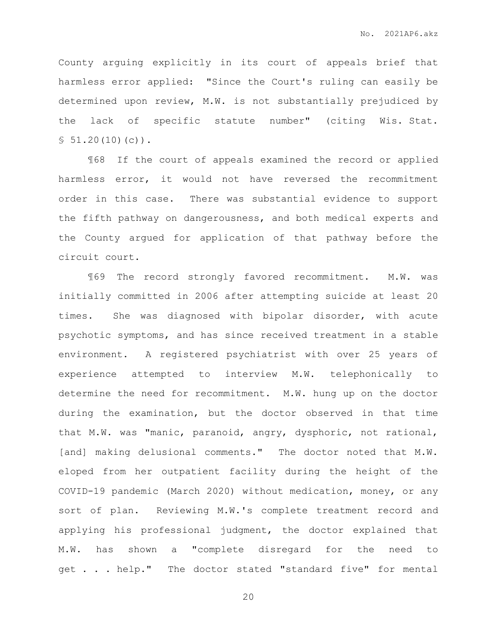County arguing explicitly in its court of appeals brief that harmless error applied: "Since the Court's ruling can easily be determined upon review, M.W. is not substantially prejudiced by the lack of specific statute number" (citing Wis. Stat.  $$51.20(10)(c))$ .

¶68 If the court of appeals examined the record or applied harmless error, it would not have reversed the recommitment order in this case. There was substantial evidence to support the fifth pathway on dangerousness, and both medical experts and the County argued for application of that pathway before the circuit court.

¶69 The record strongly favored recommitment. M.W. was initially committed in 2006 after attempting suicide at least 20 times. She was diagnosed with bipolar disorder, with acute psychotic symptoms, and has since received treatment in a stable environment. A registered psychiatrist with over 25 years of experience attempted to interview M.W. telephonically to determine the need for recommitment. M.W. hung up on the doctor during the examination, but the doctor observed in that time that M.W. was "manic, paranoid, angry, dysphoric, not rational, [and] making delusional comments." The doctor noted that M.W. eloped from her outpatient facility during the height of the COVID-19 pandemic (March 2020) without medication, money, or any sort of plan. Reviewing M.W.'s complete treatment record and applying his professional judgment, the doctor explained that M.W. has shown a "complete disregard for the need to get . . . help." The doctor stated "standard five" for mental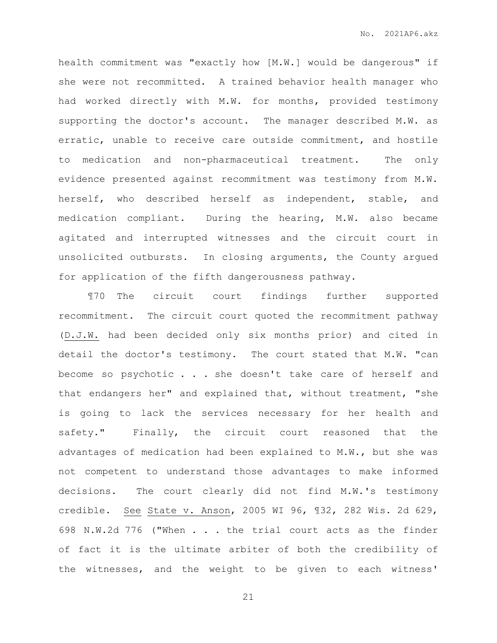health commitment was "exactly how [M.W.] would be dangerous" if she were not recommitted. A trained behavior health manager who had worked directly with M.W. for months, provided testimony supporting the doctor's account. The manager described M.W. as erratic, unable to receive care outside commitment, and hostile to medication and non-pharmaceutical treatment. The only evidence presented against recommitment was testimony from M.W. herself, who described herself as independent, stable, and medication compliant. During the hearing, M.W. also became agitated and interrupted witnesses and the circuit court in unsolicited outbursts. In closing arguments, the County argued for application of the fifth dangerousness pathway.

¶70 The circuit court findings further supported recommitment. The circuit court quoted the recommitment pathway (D.J.W. had been decided only six months prior) and cited in detail the doctor's testimony. The court stated that M.W. "can become so psychotic . . . she doesn't take care of herself and that endangers her" and explained that, without treatment, "she is going to lack the services necessary for her health and safety." Finally, the circuit court reasoned that the advantages of medication had been explained to M.W., but she was not competent to understand those advantages to make informed decisions. The court clearly did not find M.W.'s testimony credible. See State v. Anson, 2005 WI 96, ¶32, 282 Wis. 2d 629, 698 N.W.2d 776 ("When . . . the trial court acts as the finder of fact it is the ultimate arbiter of both the credibility of the witnesses, and the weight to be given to each witness'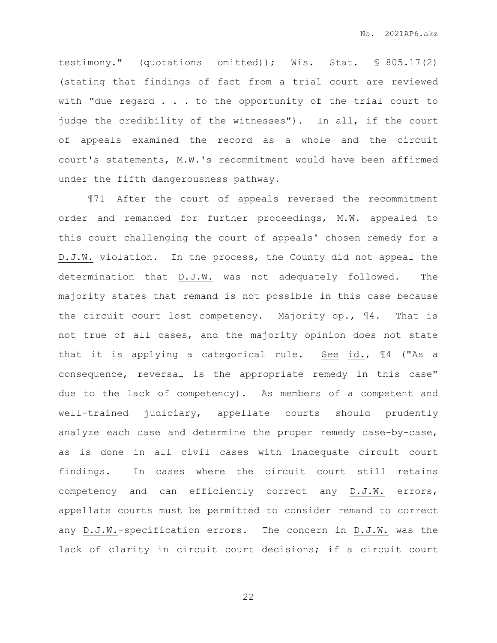testimony." (quotations omitted)); Wis. Stat. § 805.17(2) (stating that findings of fact from a trial court are reviewed with "due regard  $\ldots$  to the opportunity of the trial court to judge the credibility of the witnesses"). In all, if the court of appeals examined the record as a whole and the circuit court's statements, M.W.'s recommitment would have been affirmed under the fifth dangerousness pathway.

¶71 After the court of appeals reversed the recommitment order and remanded for further proceedings, M.W. appealed to this court challenging the court of appeals' chosen remedy for a D.J.W. violation. In the process, the County did not appeal the determination that D.J.W. was not adequately followed. The majority states that remand is not possible in this case because the circuit court lost competency. Majority op., ¶4. That is not true of all cases, and the majority opinion does not state that it is applying a categorical rule. See id., ¶4 ("As a consequence, reversal is the appropriate remedy in this case" due to the lack of competency). As members of a competent and well-trained judiciary, appellate courts should prudently analyze each case and determine the proper remedy case-by-case, as is done in all civil cases with inadequate circuit court findings. In cases where the circuit court still retains competency and can efficiently correct any D.J.W. errors, appellate courts must be permitted to consider remand to correct any D.J.W.-specification errors. The concern in D.J.W. was the lack of clarity in circuit court decisions; if a circuit court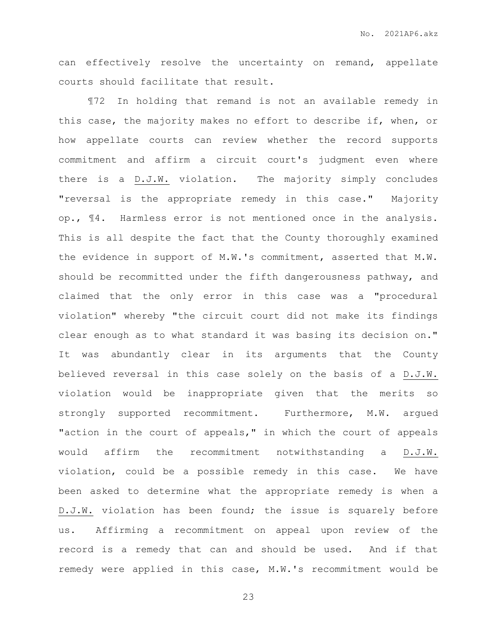can effectively resolve the uncertainty on remand, appellate courts should facilitate that result.

¶72 In holding that remand is not an available remedy in this case, the majority makes no effort to describe if, when, or how appellate courts can review whether the record supports commitment and affirm a circuit court's judgment even where there is a D.J.W. violation. The majority simply concludes "reversal is the appropriate remedy in this case." Majority op., ¶4. Harmless error is not mentioned once in the analysis. This is all despite the fact that the County thoroughly examined the evidence in support of M.W.'s commitment, asserted that M.W. should be recommitted under the fifth dangerousness pathway, and claimed that the only error in this case was a "procedural violation" whereby "the circuit court did not make its findings clear enough as to what standard it was basing its decision on." It was abundantly clear in its arguments that the County believed reversal in this case solely on the basis of a D.J.W. violation would be inappropriate given that the merits so strongly supported recommitment. Furthermore, M.W. argued "action in the court of appeals," in which the court of appeals would affirm the recommitment notwithstanding a D.J.W. violation, could be a possible remedy in this case. We have been asked to determine what the appropriate remedy is when a D.J.W. violation has been found; the issue is squarely before us. Affirming a recommitment on appeal upon review of the record is a remedy that can and should be used. And if that remedy were applied in this case, M.W.'s recommitment would be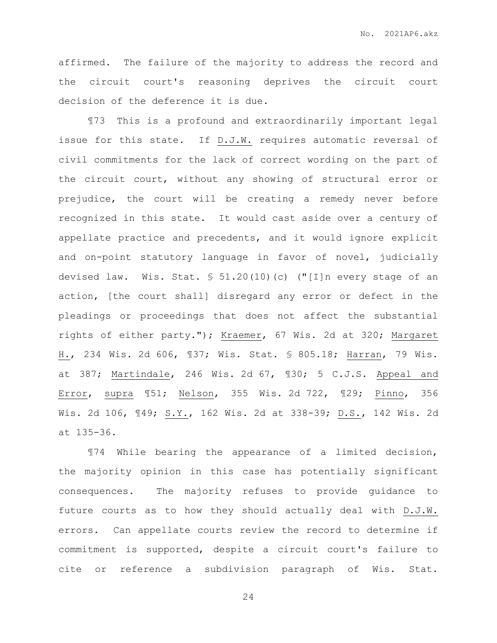affirmed. The failure of the majority to address the record and the circuit court's reasoning deprives the circuit court decision of the deference it is due.

¶73 This is a profound and extraordinarily important legal issue for this state. If D.J.W. requires automatic reversal of civil commitments for the lack of correct wording on the part of the circuit court, without any showing of structural error or prejudice, the court will be creating a remedy never before recognized in this state. It would cast aside over a century of appellate practice and precedents, and it would ignore explicit and on-point statutory language in favor of novel, judicially devised law. Wis. Stat. § 51.20(10)(c) ("[I]n every stage of an action, [the court shall] disregard any error or defect in the pleadings or proceedings that does not affect the substantial rights of either party."); Kraemer, 67 Wis. 2d at 320; Margaret H., 234 Wis. 2d 606, ¶37; Wis. Stat. § 805.18; Harran, 79 Wis. at 387; Martindale, 246 Wis. 2d 67, ¶30; 5 C.J.S. Appeal and Error, supra ¶51; Nelson, 355 Wis. 2d 722, ¶29; Pinno, 356 Wis. 2d 106, ¶49; S.Y., 162 Wis. 2d at 338-39; D.S., 142 Wis. 2d at 135-36.

¶74 While bearing the appearance of a limited decision, the majority opinion in this case has potentially significant consequences. The majority refuses to provide guidance to future courts as to how they should actually deal with D.J.W. errors. Can appellate courts review the record to determine if commitment is supported, despite a circuit court's failure to cite or reference a subdivision paragraph of Wis. Stat.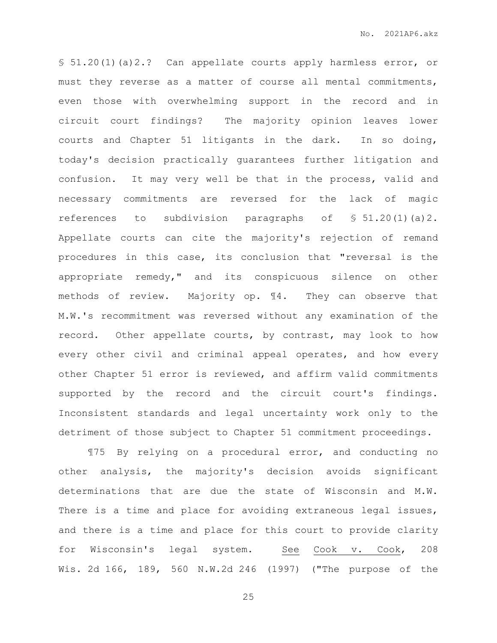§ 51.20(1)(a)2.? Can appellate courts apply harmless error, or must they reverse as a matter of course all mental commitments, even those with overwhelming support in the record and in circuit court findings? The majority opinion leaves lower courts and Chapter 51 litigants in the dark. In so doing, today's decision practically guarantees further litigation and confusion. It may very well be that in the process, valid and necessary commitments are reversed for the lack of magic references to subdivision paragraphs of  $$51.20(1)(a)2$ . Appellate courts can cite the majority's rejection of remand procedures in this case, its conclusion that "reversal is the appropriate remedy," and its conspicuous silence on other methods of review. Majority op. ¶4. They can observe that M.W.'s recommitment was reversed without any examination of the record. Other appellate courts, by contrast, may look to how every other civil and criminal appeal operates, and how every other Chapter 51 error is reviewed, and affirm valid commitments supported by the record and the circuit court's findings. Inconsistent standards and legal uncertainty work only to the detriment of those subject to Chapter 51 commitment proceedings.

¶75 By relying on a procedural error, and conducting no other analysis, the majority's decision avoids significant determinations that are due the state of Wisconsin and M.W. There is a time and place for avoiding extraneous legal issues, and there is a time and place for this court to provide clarity for Wisconsin's legal system. See Cook v. Cook, 208 Wis. 2d 166, 189, 560 N.W.2d 246 (1997) ("The purpose of the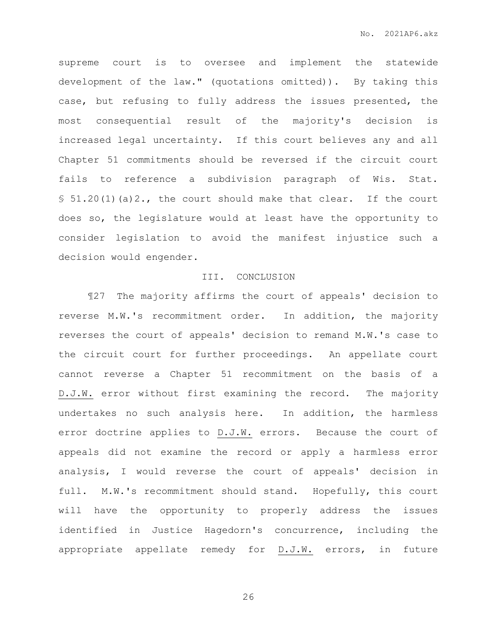supreme court is to oversee and implement the statewide development of the law." (quotations omitted)). By taking this case, but refusing to fully address the issues presented, the most consequential result of the majority's decision is increased legal uncertainty. If this court believes any and all Chapter 51 commitments should be reversed if the circuit court fails to reference a subdivision paragraph of Wis. Stat.  $$51.20(1)(a)2.,$  the court should make that clear. If the court does so, the legislature would at least have the opportunity to consider legislation to avoid the manifest injustice such a decision would engender.

### III. CONCLUSION

¶27 The majority affirms the court of appeals' decision to reverse M.W.'s recommitment order. In addition, the majority reverses the court of appeals' decision to remand M.W.'s case to the circuit court for further proceedings. An appellate court cannot reverse a Chapter 51 recommitment on the basis of a D.J.W. error without first examining the record. The majority undertakes no such analysis here. In addition, the harmless error doctrine applies to D.J.W. errors. Because the court of appeals did not examine the record or apply a harmless error analysis, I would reverse the court of appeals' decision in full. M.W.'s recommitment should stand. Hopefully, this court will have the opportunity to properly address the issues identified in Justice Hagedorn's concurrence, including the appropriate appellate remedy for D.J.W. errors, in future